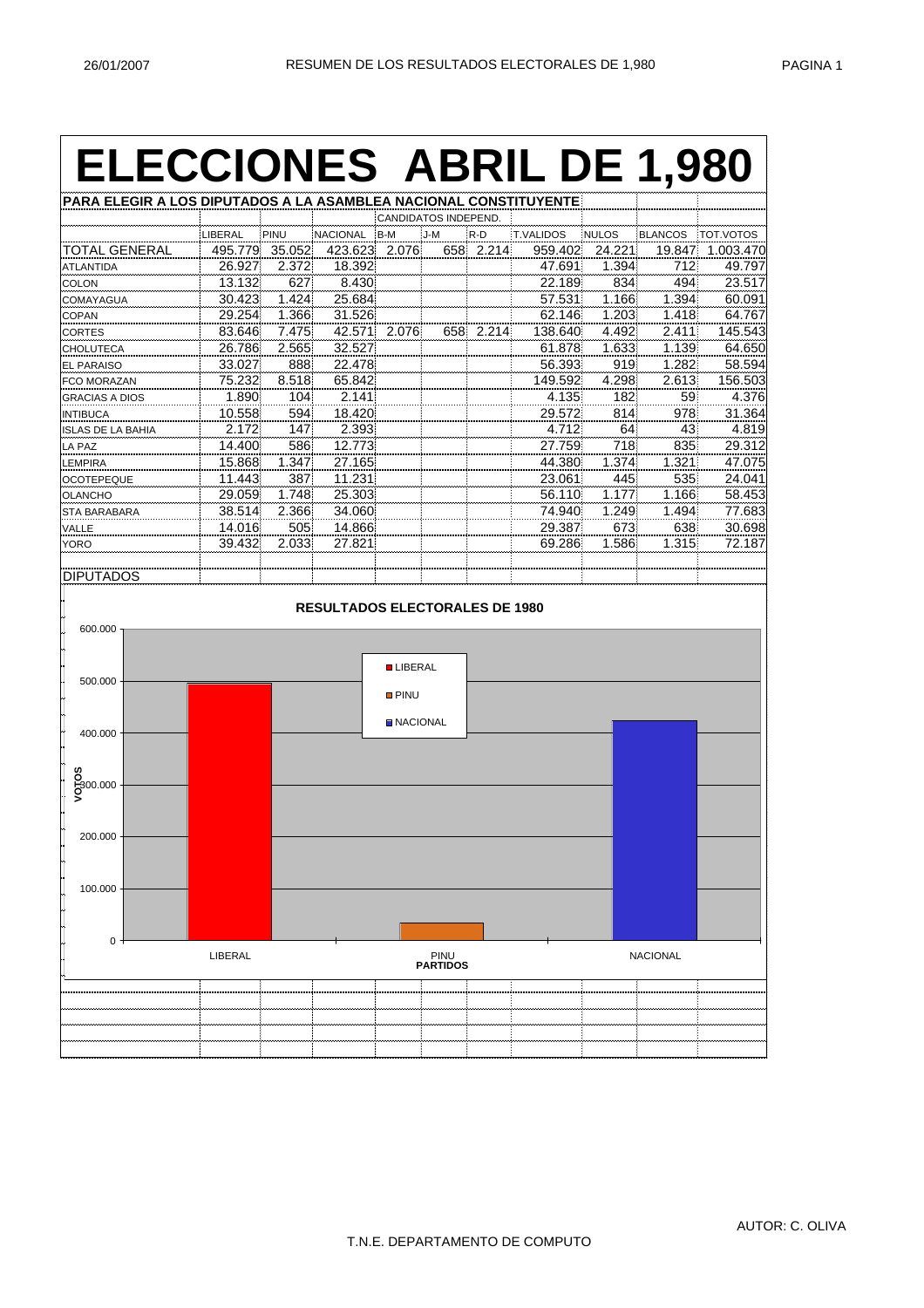## **ELECCIONES ABRIL DE 1,980**

| PARA ELEGIR A LOS DIPUTADOS A LA ASAMBLEA NACIONAL CONSTITUYENTE |         |                |                                       |                 |                      |           |           |              |                 |                  |
|------------------------------------------------------------------|---------|----------------|---------------------------------------|-----------------|----------------------|-----------|-----------|--------------|-----------------|------------------|
|                                                                  |         |                |                                       |                 | CANDIDATOS INDEPEND. |           |           |              |                 |                  |
|                                                                  | LIBERAL | PINU           | NACIONAL B-M                          |                 | J-M                  | R-D       | T.VALIDOS | <b>NULOS</b> | <b>BLANCOS</b>  | <b>TOT.VOTOS</b> |
| <b>TOTAL GENERAL</b>                                             |         | 495.779 35.052 | 423.623 2.076                         |                 |                      | 658 2.214 | 959.402   | 24.221       | 19.847          | 1.003.470        |
| <b>ATLANTIDA</b>                                                 | 26.927  | 2.372          | 18.392                                |                 |                      |           | 47.691    | 1.394        | 712             | 49.797           |
| COLON                                                            | 13.132  | 627            | 8.430                                 |                 |                      |           | 22.189    | 834          | 494             | 23.517           |
| COMAYAGUA                                                        | 30.423  | 1.424          | 25.684                                |                 |                      |           | 57.531    | 1.166        | 1.394           | 60.091           |
| COPAN                                                            | 29.254  | 1.366          | 31.526                                |                 |                      |           | 62.146    | 1.203        | 1.418           | 64.767           |
| CORTES                                                           | 83.646  | 7.475          |                                       | 42.571 2.076    |                      | 658 2.214 | 138.640   | 4.492        | 2.411           | 145.543          |
| <b>CHOLUTECA</b>                                                 | 26.786  | 2.565          | 32.527                                |                 |                      |           | 61.878    | 1.633        | 1.139           | 64.650           |
| <b>EL PARAISO</b>                                                | 33.027  | 888            | 22.478                                |                 |                      |           | 56.393    | 919          | 1.282           | 58.594           |
| FCO MORAZAN                                                      | 75.232  | 8.518          | 65.842                                |                 |                      |           | 149.592   | 4.298        | 2.613           | 156.503          |
| <b>GRACIAS A DIOS</b>                                            | 1.890   | 104            | 2.141                                 |                 |                      |           | 4.135     | 182          | 59              | 4.376            |
| <b>INTIBUCA</b>                                                  | 10.558  | 594            | 18.420                                |                 |                      |           | 29.572    | 814          | 978             | 31.364           |
| <b>ISLAS DE LA BAHIA</b>                                         | 2.172   | 147            | 2.393                                 |                 |                      |           | 4.712     | 64           | 43              | 4.819            |
| LA PAZ                                                           | 14.400  | 586            | 12.773                                |                 |                      |           | 27.759    | 718          | 835             | 29.312           |
| <b>LEMPIRA</b>                                                   | 15.868  | 1.347          | 27.165                                |                 |                      |           | 44.380    | 1.374        | 1.321           | 47.075           |
| <b>OCOTEPEQUE</b>                                                | 11.443  | 387            | 11.231                                |                 |                      |           | 23.061    | 445          | 535             | 24.041           |
| <b>OLANCHO</b>                                                   | 29.059  | 1.748          | 25.303                                |                 |                      |           | 56.110    | 1.177        | 1.166           | 58.453           |
| STA BARABARA                                                     | 38.514  | 2.366          | 34.060                                |                 |                      |           | 74.940    | 1.249        | 1.494           | 77.683           |
| VALLE                                                            | 14.016  | 505            | 14.866                                |                 |                      |           | 29.387    | 673          | 638             | 30.698           |
| <b>YORO</b>                                                      | 39.432  | 2.033          | 27.821                                |                 |                      |           | 69.286    | 1.586        | 1.315           | 72.187           |
|                                                                  |         |                |                                       |                 |                      |           |           |              |                 |                  |
| <b>DIPUTADOS</b>                                                 |         |                |                                       |                 |                      |           |           |              |                 |                  |
| 600.000                                                          |         |                | <b>RESULTADOS ELECTORALES DE 1980</b> | <b>LIBERAL</b>  |                      |           |           |              |                 |                  |
| 500.000                                                          |         |                |                                       |                 |                      |           |           |              |                 |                  |
|                                                                  |         |                |                                       | <b>O</b> PINU   |                      |           |           |              |                 |                  |
|                                                                  |         |                |                                       |                 |                      |           |           |              |                 |                  |
| 400.000                                                          |         |                |                                       | <b>NACIONAL</b> |                      |           |           |              |                 |                  |
|                                                                  |         |                |                                       |                 |                      |           |           |              |                 |                  |
|                                                                  |         |                |                                       |                 |                      |           |           |              |                 |                  |
| g<br>5300.000<br>>                                               |         |                |                                       |                 |                      |           |           |              |                 |                  |
|                                                                  |         |                |                                       |                 |                      |           |           |              |                 |                  |
|                                                                  |         |                |                                       |                 |                      |           |           |              |                 |                  |
| 200.000                                                          |         |                |                                       |                 |                      |           |           |              |                 |                  |
|                                                                  |         |                |                                       |                 |                      |           |           |              |                 |                  |
|                                                                  |         |                |                                       |                 |                      |           |           |              |                 |                  |
| 100.000                                                          |         |                |                                       |                 |                      |           |           |              |                 |                  |
|                                                                  |         |                |                                       |                 |                      |           |           |              |                 |                  |
|                                                                  |         |                |                                       |                 |                      |           |           |              |                 |                  |
|                                                                  |         |                |                                       |                 |                      |           |           |              |                 |                  |
| $0 -$                                                            | LIBERAL |                |                                       |                 | <b>PINU</b>          |           |           |              | <b>NACIONAL</b> |                  |
|                                                                  |         |                |                                       |                 | <b>PARTIDOS</b>      |           |           |              |                 |                  |
|                                                                  |         |                |                                       |                 |                      |           |           |              |                 |                  |
|                                                                  |         |                |                                       |                 |                      |           |           |              |                 |                  |
|                                                                  |         |                |                                       |                 |                      |           |           |              |                 |                  |
|                                                                  |         |                |                                       |                 |                      |           |           |              |                 |                  |
|                                                                  |         |                |                                       |                 |                      |           |           |              |                 |                  |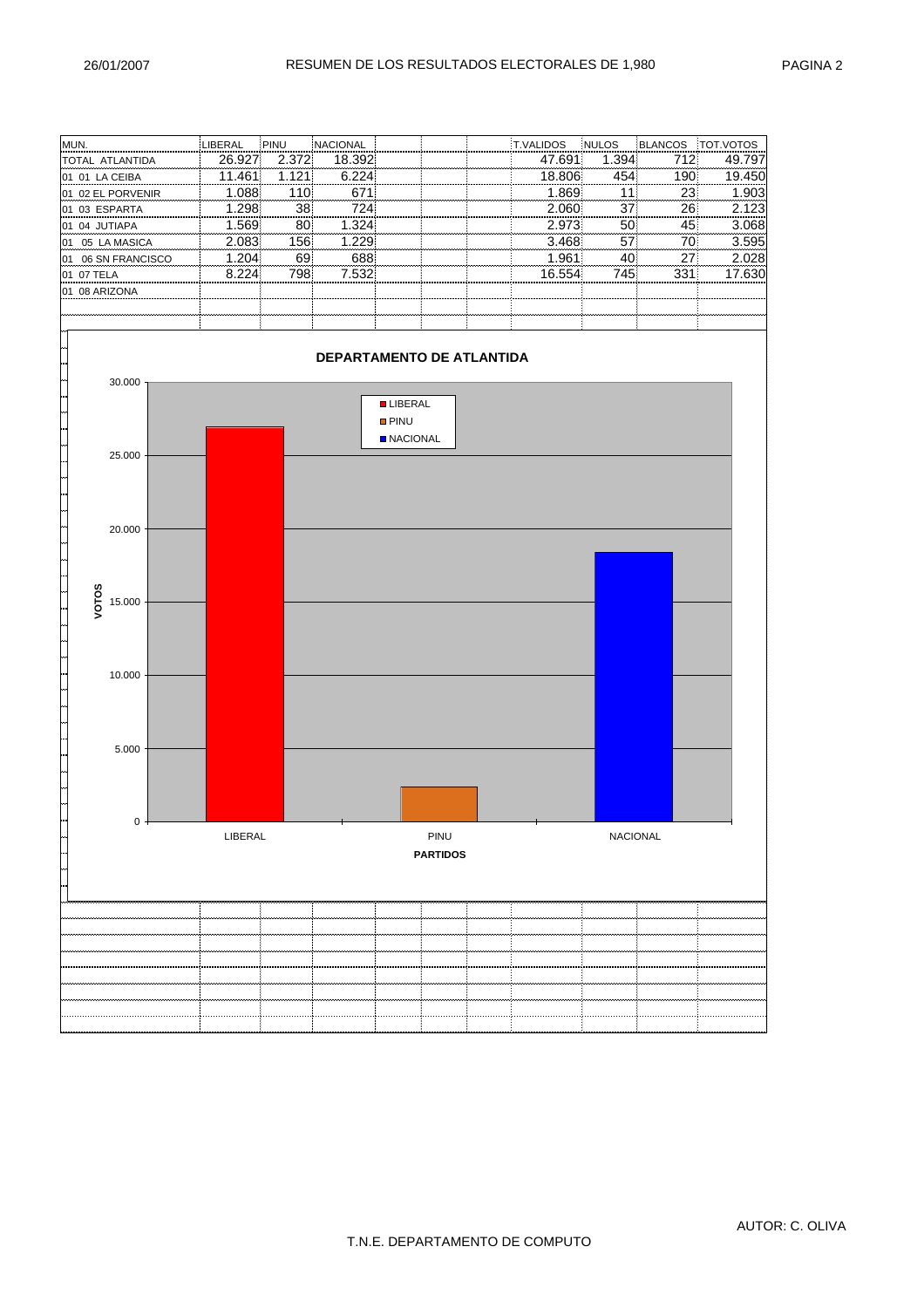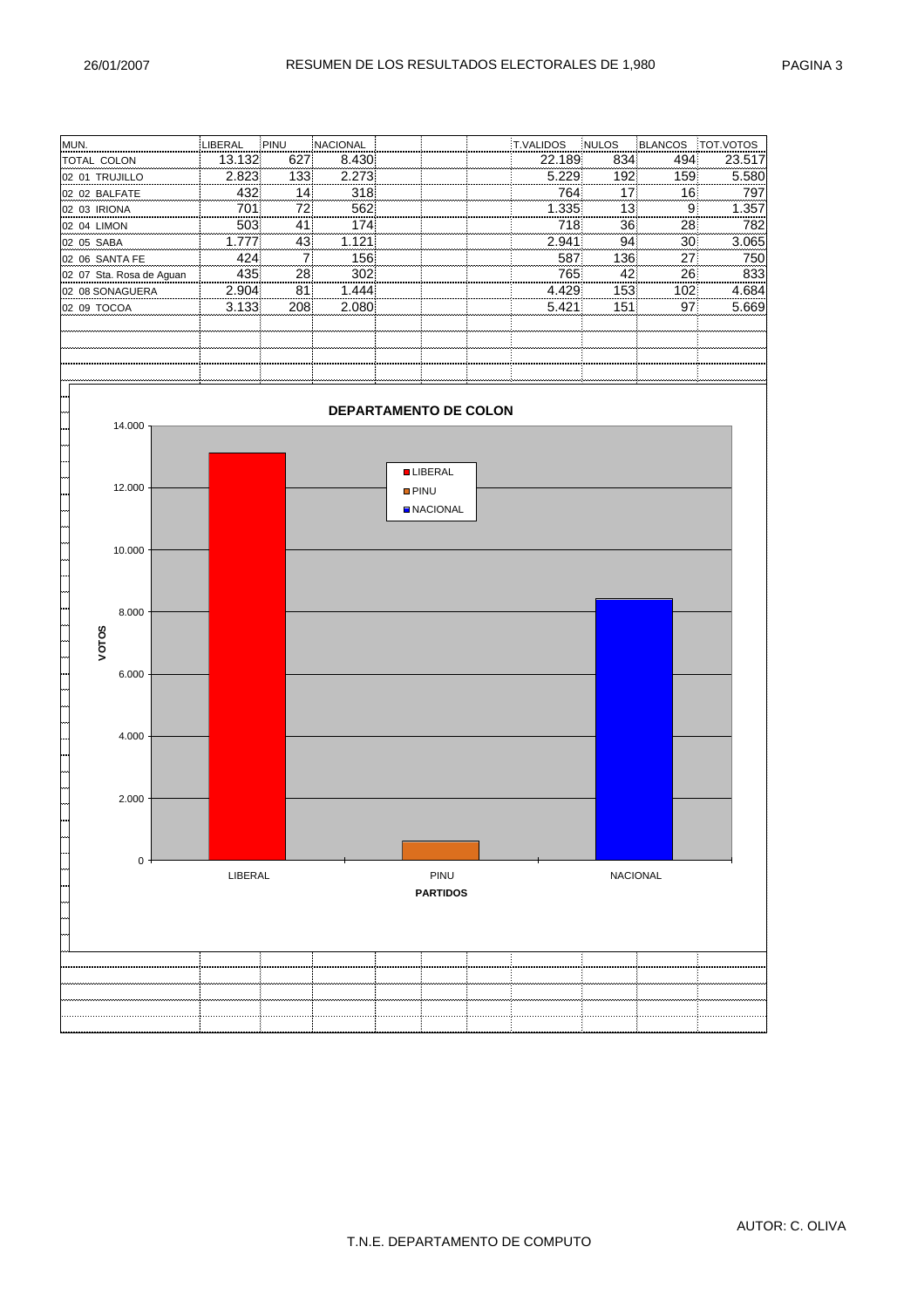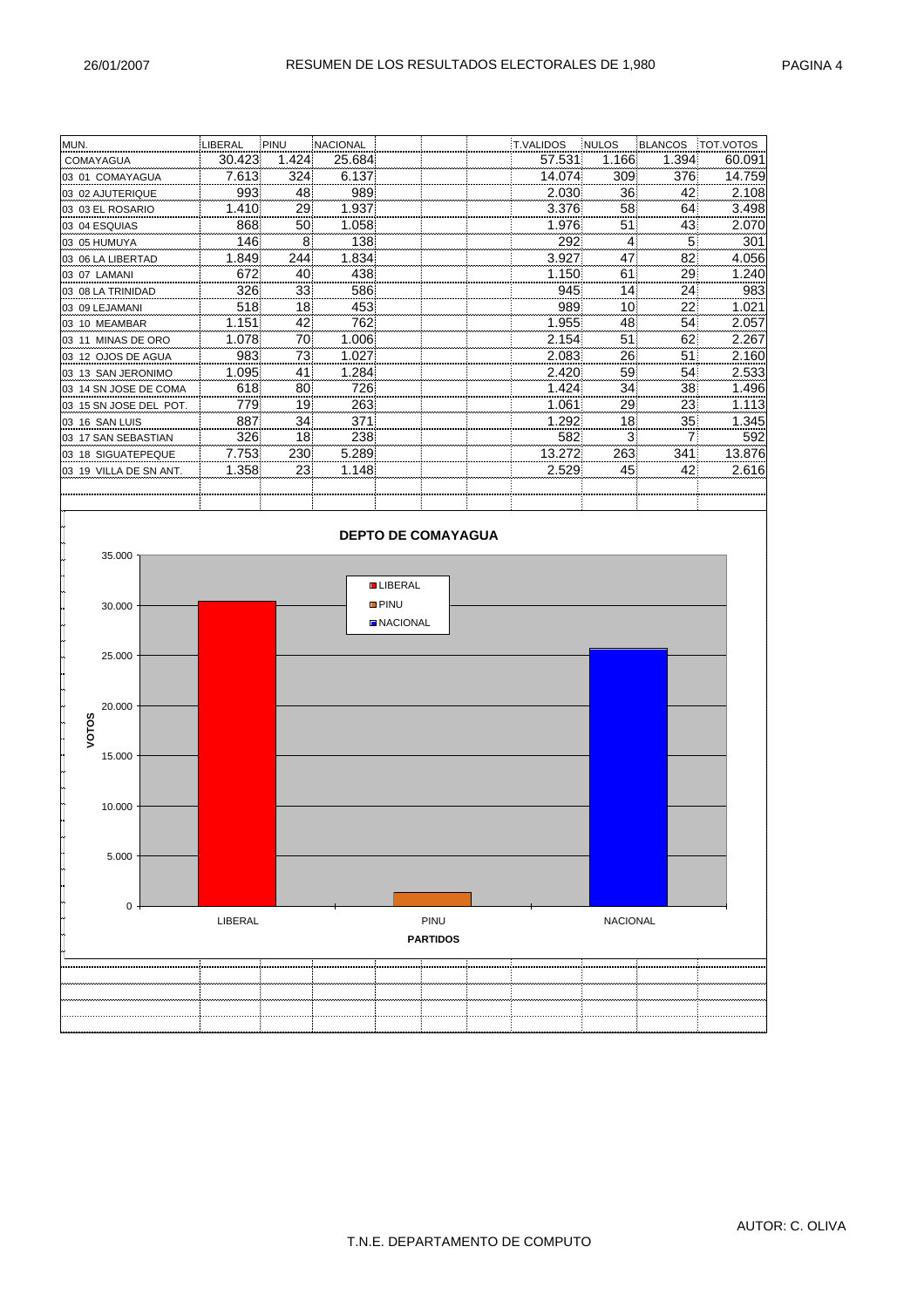| MUN.                   | LIBERAL | PINU  | <b>NACIONAL</b> | <b>T.VALIDOS</b> | <b>INULOS</b>   | <b>BLANCOS</b> | TOT.VOTOS |
|------------------------|---------|-------|-----------------|------------------|-----------------|----------------|-----------|
| COMAYAGUA              | 30.423  | 1.424 | 25.684          | 57.531           | 1.166           | 1.394          | 60.091    |
| 03 01 COMAYAGUA        | 7.613   | 324   | 6.137           | 14.074           | 309             | 376            | 14.759    |
| 03 02 AJUTERIQUE       | 993     | 48    | 989             | 2.030            | 36              | 42             | 2.108     |
| 03 03 EL ROSARIO       | 1.410   | 29    | 1.937           | 3.376            | 58              | 64             | 3.498     |
| 03 04 ESQUIAS          | 868     | 50    | 1.058           | 1.976            | 51              | 43             | 2.070     |
| 03 05 HUMUYA           | 146     | 8     | 138             | 292              | 4               | 5              | 301       |
| 03 06 LA LIBERTAD      | 1.849   | 244   | 1.834           | 3.927            | 47              | 82             | 4.056     |
| 03 07 LAMANI           | 672     | 40    | 438             | 1.150            | 61              | 29             | 1.240     |
| 03 08 LA TRINIDAD      | 326     | 33    | 586             | 945              | 14              | 24             | 983       |
| 03 09 LEJAMANI         | 518     | 18    | 453             | 989              | 10 <sup>1</sup> | 22             | 1.021     |
| 03 10 MEAMBAR          | 1.151   | 42    | 762             | 1.955            | 48              | 54             | 2.057     |
| 03 11 MINAS DE ORO     | 1.078   | 70    | 1.006           | 2.154            | 51              | 62             | 2.267     |
| 03 12 OJOS DE AGUA     | 983     | 73    | 1.027           | 2.083            | 26              | 51             | 2.160     |
| 03 13 SAN JERONIMO     | 1.095   | 41    | 1.284           | 2.420            | 59              | 54             | 2.533     |
| 03 14 SN JOSE DE COMA  | 618     | 80    | 726             | 1.424            | 34              | 38             | 1.496     |
| 03 15 SN JOSE DEL POT. | 7791    | 19    | 263             | 1.061            | 29              | 23             | 1.113     |
| 03 16 SAN LUIS         | 887     | 34    | 371             | 1.292            | 18              | 35             | 1.345     |
| 03 17 SAN SEBASTIAN    | 326     | 18    | 238             | 582              | 3               |                | 592       |
| 03 18 SIGUATEPEQUE     | 7.753   | 230   | 5.289           | 13.272           | 263             | 341            | 13.876    |
| 03 19 VILLA DE SN ANT. | 1.358   | 23    | 1.148           | 2.529            | 45              | 42             | 2.616     |
|                        |         |       |                 |                  |                 |                |           |

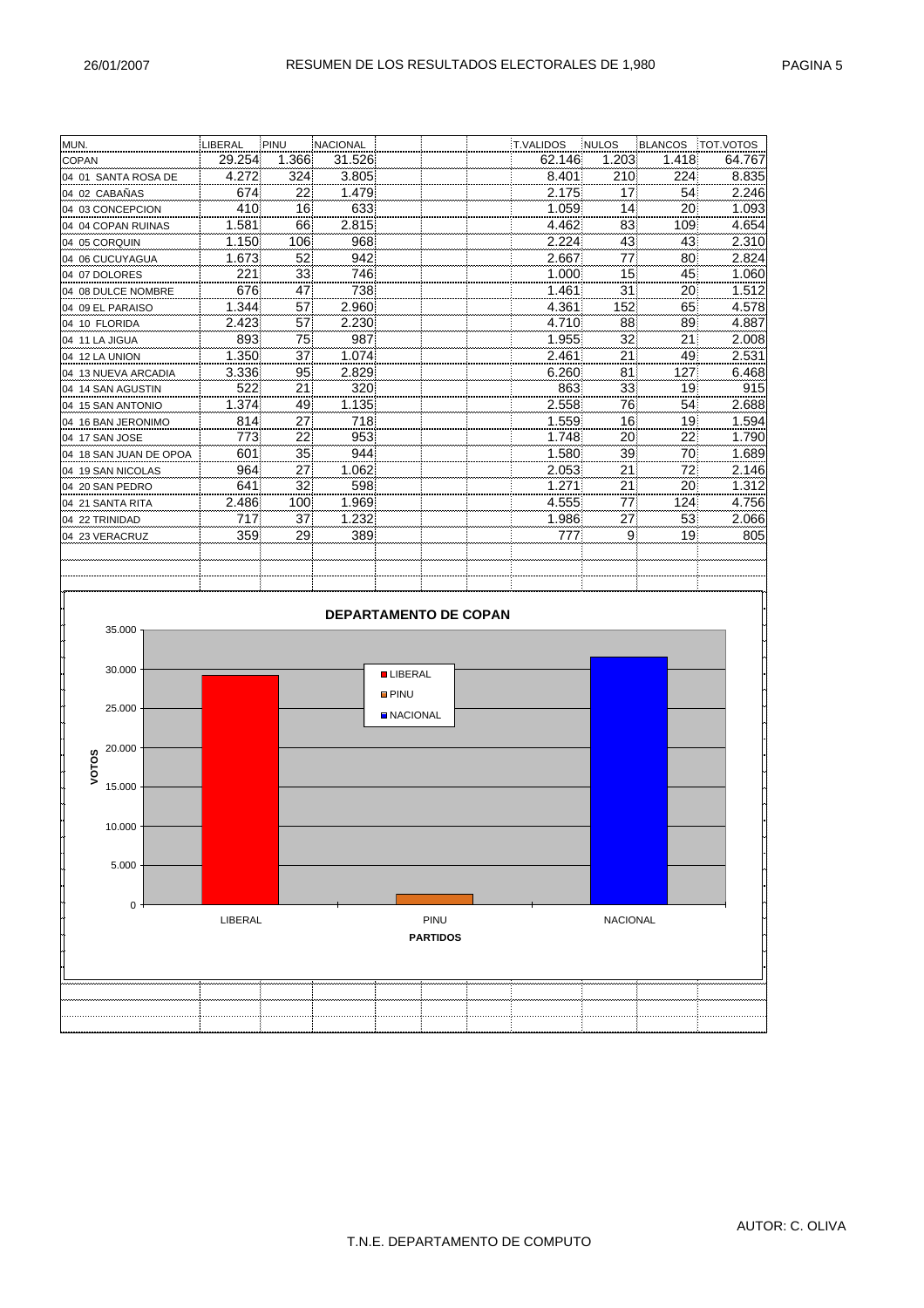| MUN.                   | LIBERAL | PINU  | NACIONAL                     |                 |                 | <b>T.VALIDOS</b> | NULOS           | <b>BLANCOS</b> | TOT.VOTOS |
|------------------------|---------|-------|------------------------------|-----------------|-----------------|------------------|-----------------|----------------|-----------|
| <b>COPAN</b>           | 29.254  | 1.366 | 31.526                       |                 |                 | 62.146           | 1.203           | 1.418          | 64.767    |
| 04 01 SANTA ROSA DE    | 4.272   | 324   | 3.805                        |                 |                 | 8.401            | 210             | 224            | 8.835     |
| 04 02 CABAÑAS          | 674     | 22    | 1.479                        |                 |                 | 2.175            | 17              | 54             | 2.246     |
| 04 03 CONCEPCION       | 410     | 16    | 633                          |                 |                 | 1.059            | 14              | 20             | 1.093     |
| 04 04 COPAN RUINAS     | 1.581   | 66    | 2.815                        |                 |                 | 4.462            | 83              | 109            | 4.654     |
| 04 05 CORQUIN          | 1.150   | 106   | 968                          |                 |                 | 2.224            | 43              | 43             | 2.310     |
| 04 06 CUCUYAGUA        | 1.673   | 52    | 942                          |                 |                 | 2.667            | 77              | 80             | 2.824     |
| 04 07 DOLORES          | 221     | 33    | 746                          |                 |                 | 1.000            | 15              | 45             | 1.060     |
| 04 08 DULCE NOMBRE     | 676     | 47    | 738                          |                 |                 | 1.461            | 31              | 20             | 1.512     |
| 04 09 EL PARAISO       | 1.344   | 57    | 2.960                        |                 |                 | 4.361            | 152             | 65             | 4.578     |
| 04 10 FLORIDA          | 2.423   | 57    | 2.230                        |                 |                 | 4.710            | 88              | 89             | 4.887     |
| 04 11 LA JIGUA         | 893     | 75    | 987                          |                 |                 | 1.955            | 32              | 21             | 2.008     |
| 04 12 LA UNION         | 1.350   | 37    | 1.074                        |                 |                 | 2.461            | 21              | 49             | 2.531     |
| 04 13 NUEVA ARCADIA    | 3.336   | 95    | 2.829                        |                 |                 | 6.260            | 81              | 127            | 6.468     |
| 04 14 SAN AGUSTIN      | 522     | 21    | 320                          |                 |                 | 863              | 33              | 19             | 915       |
| 04 15 SAN ANTONIO      | 1.374   | 49    | 1.135                        |                 |                 | 2.558            | 76              | 54             | 2.688     |
| 04 16 BAN JERONIMO     | 814     | 27    | 718                          |                 |                 | 1.559            | 16              | 19             | 1.594     |
| 04 17 SAN JOSE         | 773     | 22    | 953                          |                 |                 | 1.748            | 20              | 22             | 1.790     |
| 04 18 SAN JUAN DE OPOA | 601     | 35    | 944                          |                 |                 | 1.580            | 39              | 70             | 1.689     |
| 04 19 SAN NICOLAS      | 964     | 27    | 1.062                        |                 |                 | 2.053            | 21              | 72             | 2.146     |
| 04 20 SAN PEDRO        | 641     | 32    | 598                          |                 |                 | 1.271            | 21              | 20             | 1.312     |
| 04 21 SANTA RITA       | 2.486   | 100   | 1.969                        |                 |                 | 4.555            | 77              | 124            | 4.756     |
| 04 22 TRINIDAD         | 717     | 37    | 1.232                        |                 |                 | 1.986            | 27              | 53             | 2.066     |
| 04 23 VERACRUZ         | 359     | 29    | 389                          |                 |                 | 777              | 9               | 19             | 805       |
|                        |         |       |                              |                 |                 |                  |                 |                |           |
|                        |         |       |                              |                 |                 |                  |                 |                |           |
|                        |         |       |                              |                 |                 |                  |                 |                |           |
|                        |         |       |                              |                 |                 |                  |                 |                |           |
|                        |         |       | <b>DEPARTAMENTO DE COPAN</b> |                 |                 |                  |                 |                |           |
| 35.000                 |         |       |                              |                 |                 |                  |                 |                |           |
|                        |         |       |                              |                 |                 |                  |                 |                |           |
| 30.000                 |         |       |                              | <b>LIBERAL</b>  |                 |                  |                 |                |           |
|                        |         |       |                              |                 |                 |                  |                 |                |           |
| 25.000                 |         |       |                              | <b>D</b> PINU   |                 |                  |                 |                |           |
|                        |         |       |                              | <b>NACIONAL</b> |                 |                  |                 |                |           |
|                        |         |       |                              |                 |                 |                  |                 |                |           |
| 20.000                 |         |       |                              |                 |                 |                  |                 |                |           |
| <b>VOTOS</b>           |         |       |                              |                 |                 |                  |                 |                |           |
| 15.000                 |         |       |                              |                 |                 |                  |                 |                |           |
|                        |         |       |                              |                 |                 |                  |                 |                |           |
|                        |         |       |                              |                 |                 |                  |                 |                |           |
| $10.000 -$             |         |       |                              |                 |                 |                  |                 |                |           |
|                        |         |       |                              |                 |                 |                  |                 |                |           |
| 5.000                  |         |       |                              |                 |                 |                  |                 |                |           |
|                        |         |       |                              |                 |                 |                  |                 |                |           |
| 0                      |         |       |                              |                 |                 |                  |                 |                |           |
|                        | LIBERAL |       |                              |                 | PINU            |                  | <b>NACIONAL</b> |                |           |
|                        |         |       |                              |                 | <b>PARTIDOS</b> |                  |                 |                |           |
|                        |         |       |                              |                 |                 |                  |                 |                |           |
|                        |         |       |                              |                 |                 |                  |                 |                |           |
|                        |         |       |                              |                 |                 |                  |                 |                |           |
|                        |         |       |                              |                 |                 |                  |                 |                |           |
|                        |         |       |                              |                 |                 |                  |                 |                |           |
|                        |         |       |                              |                 |                 |                  |                 |                |           |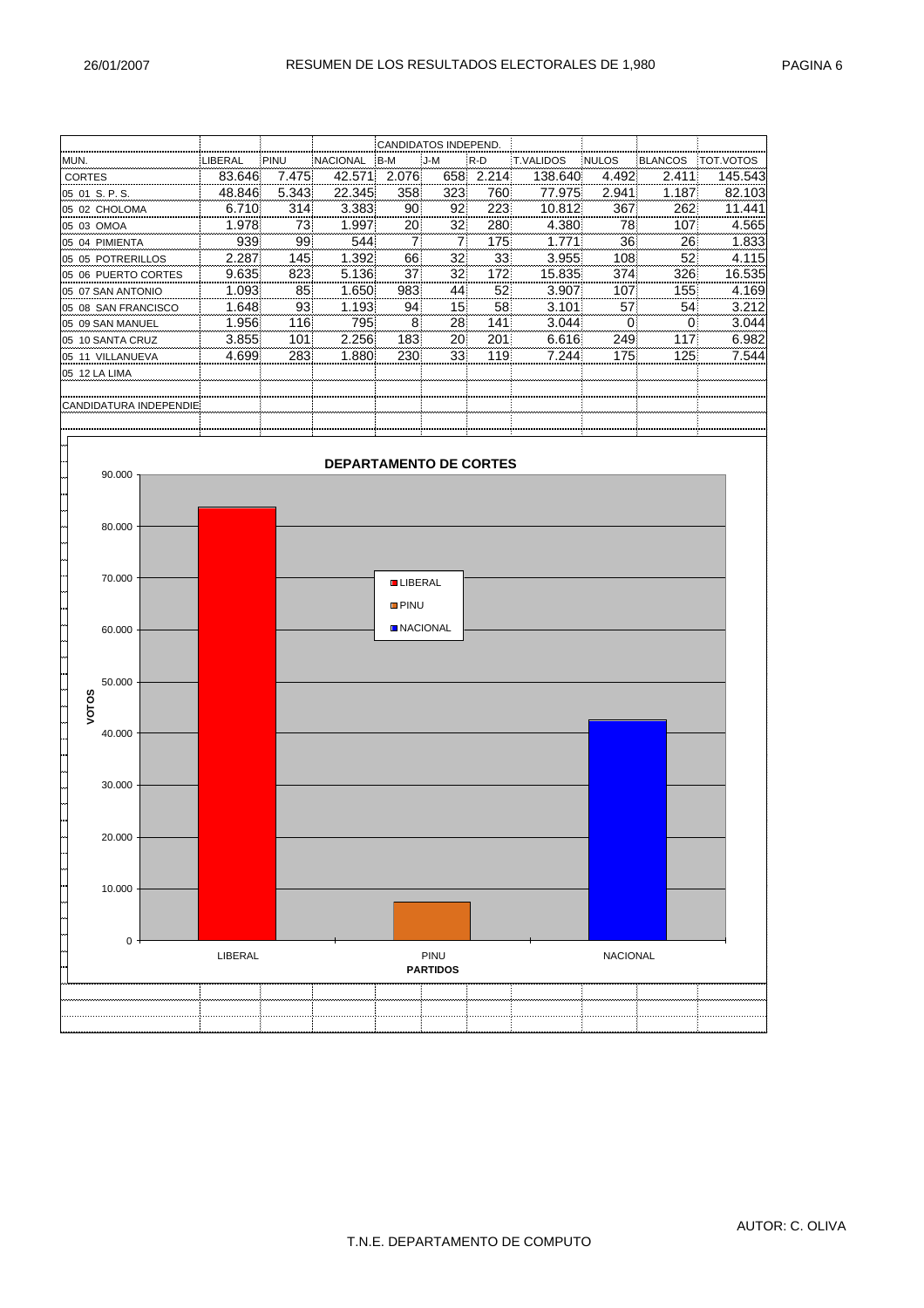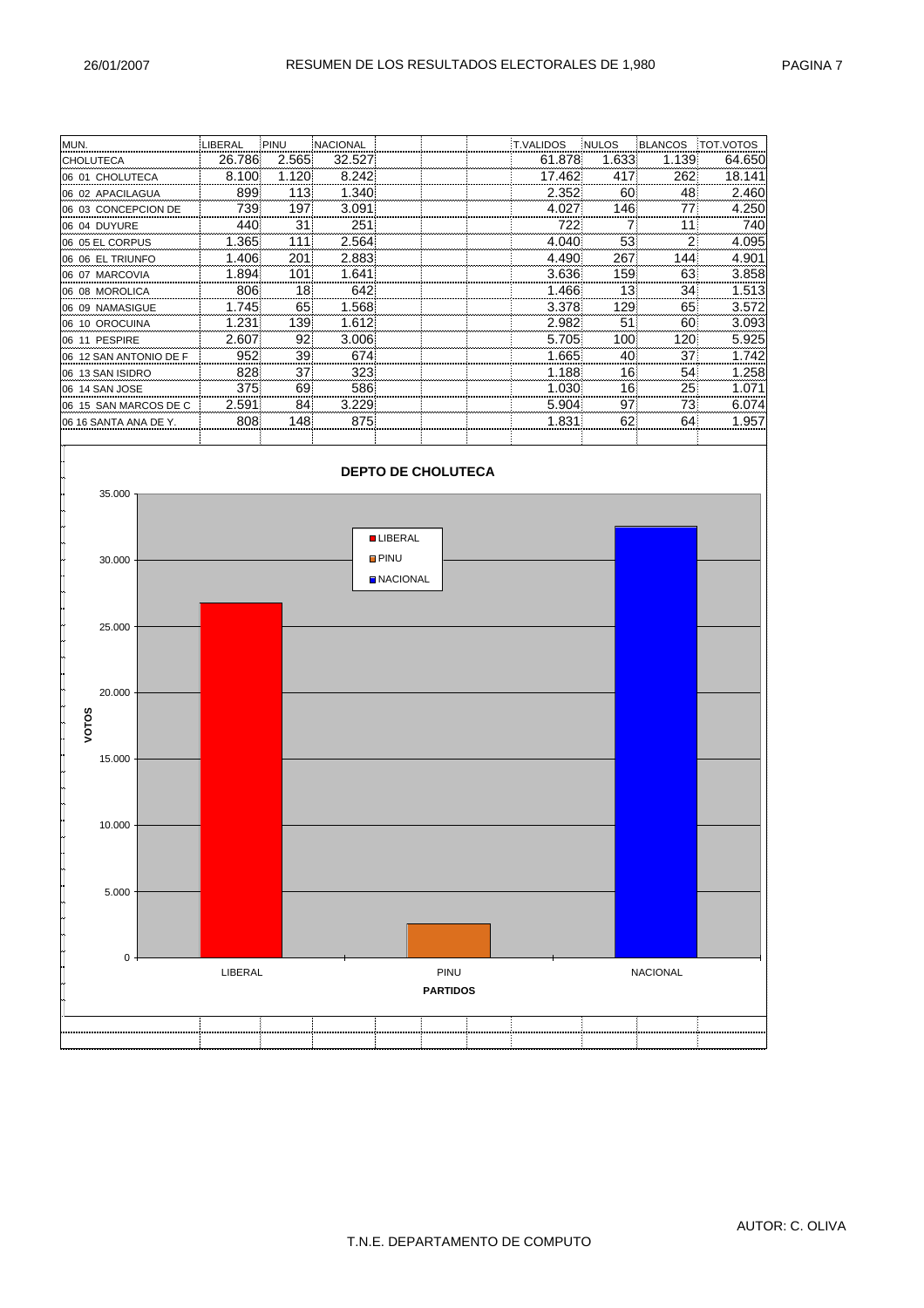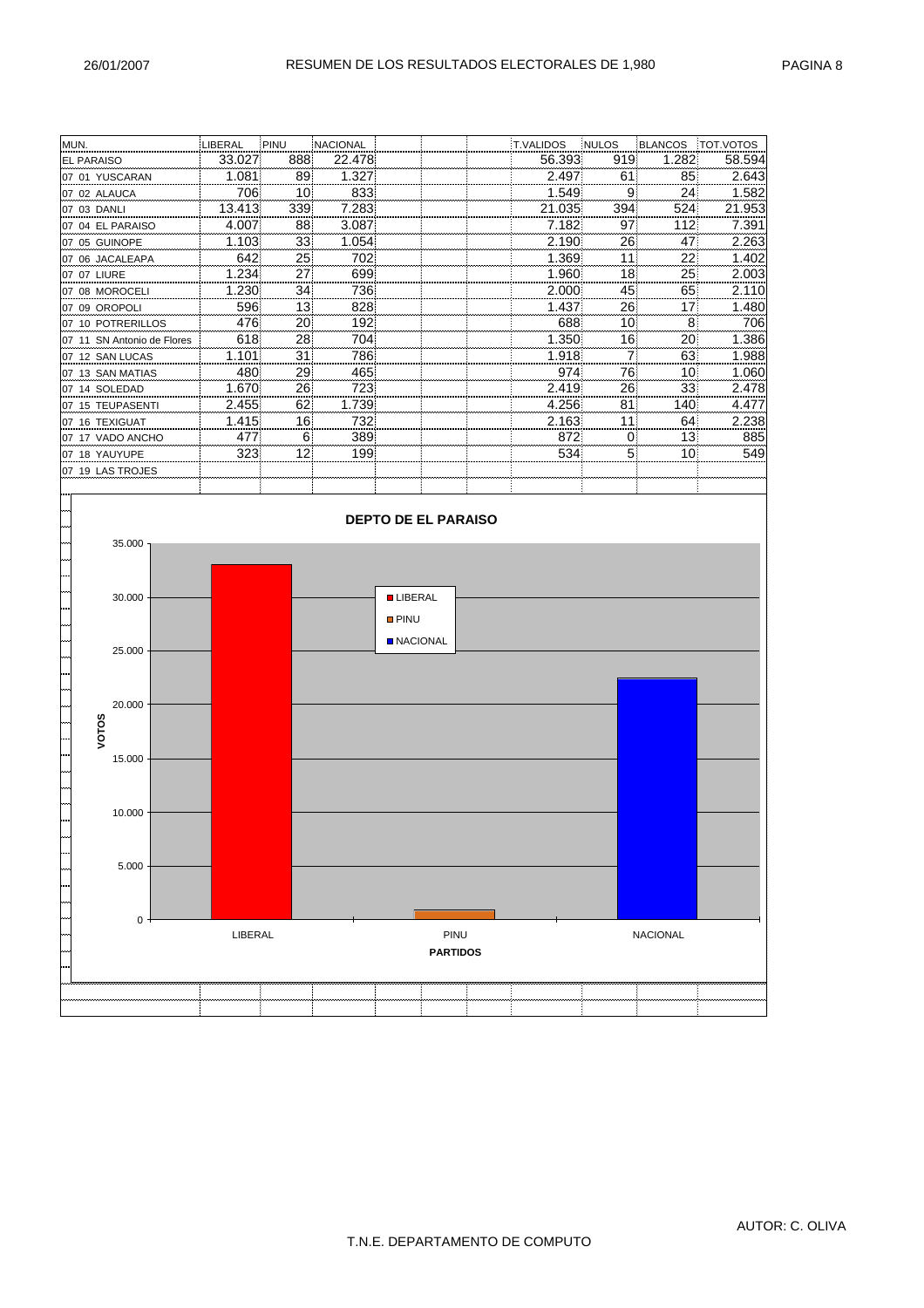| MUN.                       | LIBERAL | PINU | NACIONAL |                 |                            | T.VALIDOS | NULOS | <b>BLANCOS</b>  | <b>TOT.VOTOS</b> |
|----------------------------|---------|------|----------|-----------------|----------------------------|-----------|-------|-----------------|------------------|
| EL PARAISO                 | 33.027  | 888  | 22.478   |                 |                            | 56.393    | 919   | 1.282           | 58.594           |
| 07 01 YUSCARAN             | 1.081   | 89   | 1.327    |                 |                            | 2.497     | 61    | 85              | 2.643            |
| 07 02 ALAUCA               | 706     | 10   | 833      |                 |                            | 1.549     | 9     | 24              | 1.582            |
| 07 03 DANLI                | 13.413  | 339  | 7.283    |                 |                            | 21.035    | 394   | 524             | 21.953           |
| 07 04 EL PARAISO           | 4.007   | 88   | 3.087    |                 |                            | 7.182     | 97    | 112             | 7.391            |
| 07 05 GUINOPE              | 1.103   | 33   | 1.054    |                 |                            | 2.190     | 26    | 47              | 2.263            |
| 07 06 JACALEAPA            | 642     | 25   | 702      |                 |                            | 1.369     | 11    | 22              | 1.402            |
| 07 07 LIURE                | 1.234   | 27   | 699      |                 |                            | 1.960     | 18    | 25              | 2.003            |
| 07 08 MOROCELI             | 1.230   | 34   | 736      |                 |                            | 2.000     | 45    | 65              | 2.110            |
| 07 09 OROPOLI              | 596     | 13   | 828      |                 |                            | 1.437     | 26    | 17              | 1.480            |
| 07 10 POTRERILLOS          | 476     | 20   | 192      |                 |                            | 688       | 10    | 8               | 706              |
| 07 11 SN Antonio de Flores | 618     | 28   | 704      |                 |                            | 1.350     | 16    | 20              | 1.386            |
| 07 12 SAN LUCAS            | 1.101   | 31   | 786      |                 |                            | 1.918     | 7     | 63              | 1.988            |
| 07 13 SAN MATIAS           | 480     | 29   | 465      |                 |                            | 974       | 76    | 10              | 1.060            |
| 07 14 SOLEDAD              | 1.670   | 26   | 723      |                 |                            | 2.419     | 26    | 33              | 2.478            |
| 07 15 TEUPASENTI           | 2.455   | 62   | 1.739    |                 |                            | 4.256     | 81    | 140             | 4.477            |
| 07 16 TEXIGUAT             | 1.415   | 16   | 732      |                 |                            | 2.163     | 11    | 64              | 2.238            |
| 07 17 VADO ANCHO           | 477     | 6    | 389      |                 |                            | 872       | 0     | 13              | 885              |
| 07 18 YAUYUPE              | 323     | 12   | 199      |                 |                            | 534       | 5     | 10              | 549              |
| 07 19 LAS TROJES           |         |      |          |                 |                            |           |       |                 |                  |
|                            |         |      |          |                 |                            |           |       |                 |                  |
|                            |         |      |          |                 |                            |           |       |                 |                  |
|                            |         |      |          |                 | <b>DEPTO DE EL PARAISO</b> |           |       |                 |                  |
|                            |         |      |          |                 |                            |           |       |                 |                  |
| 35.000                     |         |      |          |                 |                            |           |       |                 |                  |
|                            |         |      |          |                 |                            |           |       |                 |                  |
|                            |         |      |          |                 |                            |           |       |                 |                  |
| 30.000                     |         |      |          | <b>LIBERAL</b>  |                            |           |       |                 |                  |
|                            |         |      |          |                 |                            |           |       |                 |                  |
|                            |         |      |          | <b>PINU</b>     |                            |           |       |                 |                  |
|                            |         |      |          | <b>NACIONAL</b> |                            |           |       |                 |                  |
| 25.000                     |         |      |          |                 |                            |           |       |                 |                  |
|                            |         |      |          |                 |                            |           |       |                 |                  |
|                            |         |      |          |                 |                            |           |       |                 |                  |
| 20.000                     |         |      |          |                 |                            |           |       |                 |                  |
| <b>VOTOS</b>               |         |      |          |                 |                            |           |       |                 |                  |
|                            |         |      |          |                 |                            |           |       |                 |                  |
|                            |         |      |          |                 |                            |           |       |                 |                  |
| 15.000                     |         |      |          |                 |                            |           |       |                 |                  |
|                            |         |      |          |                 |                            |           |       |                 |                  |
|                            |         |      |          |                 |                            |           |       |                 |                  |
| 10.000                     |         |      |          |                 |                            |           |       |                 |                  |
|                            |         |      |          |                 |                            |           |       |                 |                  |
|                            |         |      |          |                 |                            |           |       |                 |                  |
| 5.000                      |         |      |          |                 |                            |           |       |                 |                  |
|                            |         |      |          |                 |                            |           |       |                 |                  |
|                            |         |      |          |                 |                            |           |       |                 |                  |
|                            |         |      |          |                 |                            |           |       |                 |                  |
| 0                          |         |      |          |                 |                            |           |       |                 |                  |
|                            | LIBERAL |      |          |                 | PINU                       |           |       | <b>NACIONAL</b> |                  |
|                            |         |      |          |                 | <b>PARTIDOS</b>            |           |       |                 |                  |
|                            |         |      |          |                 |                            |           |       |                 |                  |
|                            |         |      |          |                 |                            |           |       |                 |                  |
|                            |         |      |          |                 |                            |           |       |                 |                  |
|                            |         |      |          |                 |                            |           |       |                 |                  |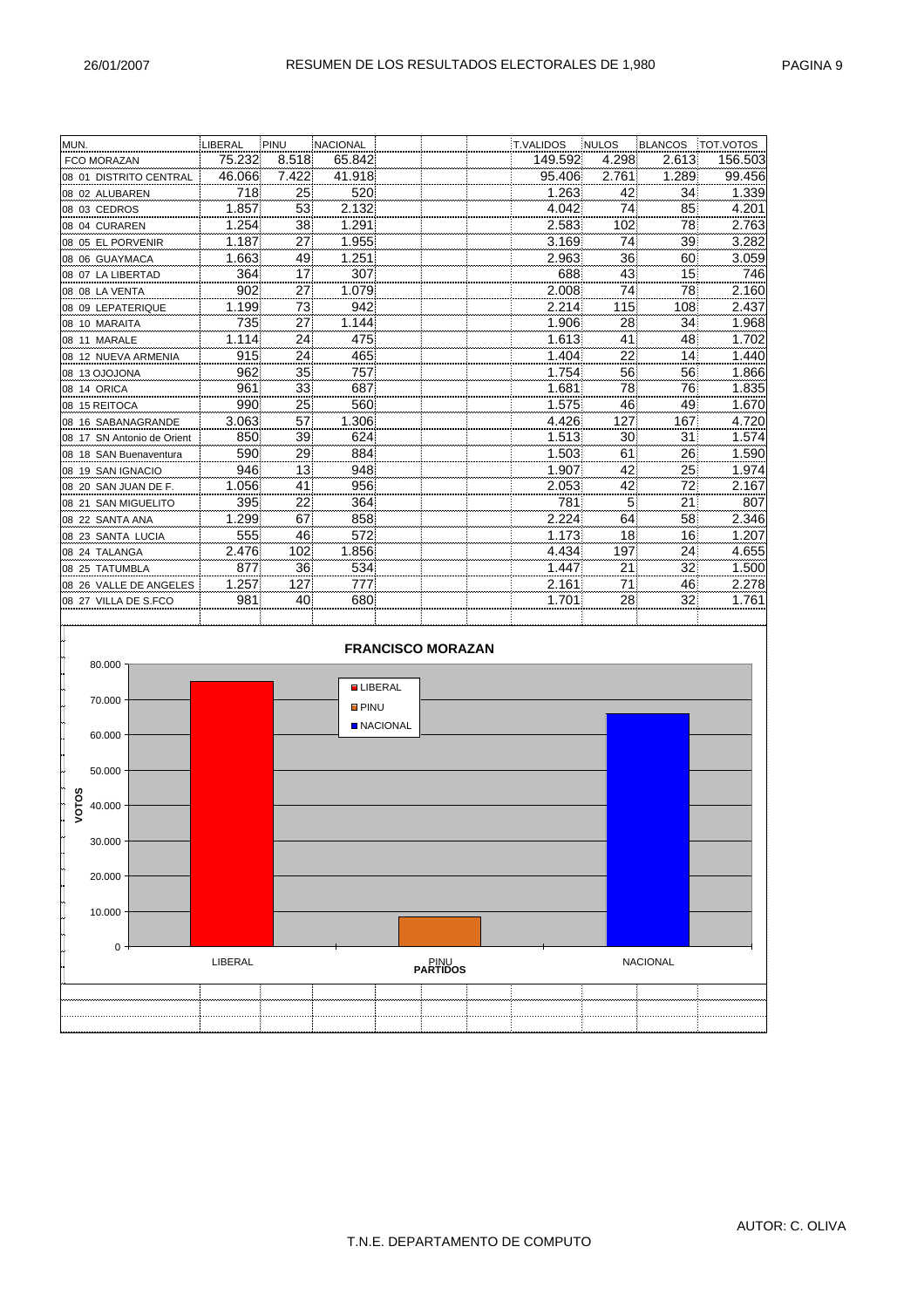| MUN.                       | LIBERAL | PINU  | <b>NACIONAL</b> |                 |                          | T.VALIDOS | <b>NULOS</b> | <b>BLANCOS</b>  | TOT.VOTOS |
|----------------------------|---------|-------|-----------------|-----------------|--------------------------|-----------|--------------|-----------------|-----------|
| <b>FCO MORAZAN</b>         | 75.232  | 8.518 | 65.842          |                 |                          | 149.592   | 4.298        | 2.613           | 156.503   |
| 08 01 DISTRITO CENTRAL     | 46.066  | 7.422 | 41.918          |                 |                          | 95.406    | 2.761        | 1.289           | 99.456    |
| 08 02 ALUBAREN             | 718     | 25    | 520             |                 |                          | 1.263     | 42           | 34              | 1.339     |
| 08 03 CEDROS               | 1.857   | 53    | 2.132           |                 |                          | 4.042     | 74           | 85              | 4.201     |
| 08 04 CURAREN              | 1.254   | 38    | 1.291           |                 |                          | 2.583     | 102          | 78              | 2.763     |
| 08 05 EL PORVENIR          | 1.187   | 27    | 1.955           |                 |                          | 3.169     | 74           | 39              | 3.282     |
| 08 06 GUAYMACA             | 1.663   | 49    | 1.251           |                 |                          | 2.963     | 36           | 60              | 3.059     |
| 08 07 LA LIBERTAD          | 364     | 17    | 307             |                 |                          | 688       | 43           | 15              | 746       |
| 08 08 LA VENTA             | 902     | 27    | 1.079           |                 |                          | 2.008     | 74           | 78              | 2.160     |
| 08 09 LEPATERIQUE          | 1.199   | 73    | 942             |                 |                          | 2.214     | 115          | 108             | 2.437     |
| 08 10 MARAITA              | 735     | 27    | 1.144           |                 |                          | 1.906     | 28           | 34              | 1.968     |
| 08 11 MARALE               | 1.114   | 24    | 475             |                 |                          | 1.613     | 41           | 48              | 1.702     |
| 08 12 NUEVA ARMENIA        | 915     | 24    | 465             |                 |                          | 1.404     | 22           | 14              | 1.440     |
| 08 13 OJOJONA              | 962     | 35    | 757             |                 |                          | 1.754     | 56           | 56              | 1.866     |
| 08 14 ORICA                | 961     | 33    | 687             |                 |                          | 1.681     | 78           | 76              | 1.835     |
| 08 15 REITOCA              | 990     | 25    | 560             |                 |                          | 1.575     | 46           | 49              | 1.670     |
| 08 16 SABANAGRANDE         | 3.063   | 57    | 1.306           |                 |                          | 4.426     | 127          | 167             | 4.720     |
| 08 17 SN Antonio de Orient | 850     | 39    | 624             |                 |                          | 1.513     | 30           | 31              | 1.574     |
| 08 18 SAN Buenaventura     | 590     | 29    | 884             |                 |                          | 1.503     | 61           | 26              | 1.590     |
| 08 19 SAN IGNACIO          | 946     | 13    | 948             |                 |                          | 1.907     | 42           | 25              | 1.974     |
| 08 20 SAN JUAN DE F.       | 1.056   | 41    | 956             |                 |                          | 2.053     | 42           | 72              | 2.167     |
| 08 21 SAN MIGUELITO        | 395     | 22    | 364             |                 |                          | 781       | 5            | 21              | 807       |
| 08 22 SANTA ANA            | 1.299   | 67    | 858             |                 |                          | 2.224     | 64           | 58              | 2.346     |
| 08 23 SANTA LUCIA          | 555     | 46    | 572             |                 |                          | 1.173     | 18           | 16              | 1.207     |
| 08 24 TALANGA              | 2.476   | 102   | 1.856           |                 |                          | 4.434     | 197          | 24              | 4.655     |
| 08 25 TATUMBLA             | 877     | 36    | 534             |                 |                          | 1.447     | 21           | 32              | 1.500     |
| 08 26 VALLE DE ANGELES     | 1.257   | 127   | 777             |                 |                          | 2.161     | 71           | 46              | 2.278     |
| 08 27 VILLA DE S.FCO       | 981     | 40    | 680             |                 |                          | 1.701     | 28           | 32              | 1.761     |
|                            |         |       |                 |                 |                          |           |              |                 |           |
|                            |         |       |                 |                 |                          |           |              |                 |           |
|                            |         |       |                 |                 | <b>FRANCISCO MORAZAN</b> |           |              |                 |           |
| 80.000                     |         |       |                 |                 |                          |           |              |                 |           |
|                            |         |       |                 | <b>LIBERAL</b>  |                          |           |              |                 |           |
| 70.000                     |         |       | <b>D</b> PINU   |                 |                          |           |              |                 |           |
|                            |         |       |                 |                 |                          |           |              |                 |           |
| 60.000                     |         |       |                 | <b>NACIONAL</b> |                          |           |              |                 |           |
|                            |         |       |                 |                 |                          |           |              |                 |           |
| 50.000                     |         |       |                 |                 |                          |           |              |                 |           |
|                            |         |       |                 |                 |                          |           |              |                 |           |
| VOTOS<br>40.000            |         |       |                 |                 |                          |           |              |                 |           |
|                            |         |       |                 |                 |                          |           |              |                 |           |
|                            |         |       |                 |                 |                          |           |              |                 |           |
| 30.000                     |         |       |                 |                 |                          |           |              |                 |           |
|                            |         |       |                 |                 |                          |           |              |                 |           |
| 20.000                     |         |       |                 |                 |                          |           |              |                 |           |
|                            |         |       |                 |                 |                          |           |              |                 |           |
| 10.000                     |         |       |                 |                 |                          |           |              |                 |           |
|                            |         |       |                 |                 |                          |           |              |                 |           |
| 0                          |         |       |                 |                 |                          |           |              |                 |           |
|                            | LIBERAL |       |                 |                 | PINU<br>PARTIDOS         |           |              | <b>NACIONAL</b> |           |
|                            |         |       |                 |                 |                          |           |              |                 |           |
|                            |         |       |                 |                 |                          |           |              |                 |           |
|                            |         |       |                 |                 |                          |           |              |                 |           |
|                            |         |       |                 |                 |                          |           |              |                 |           |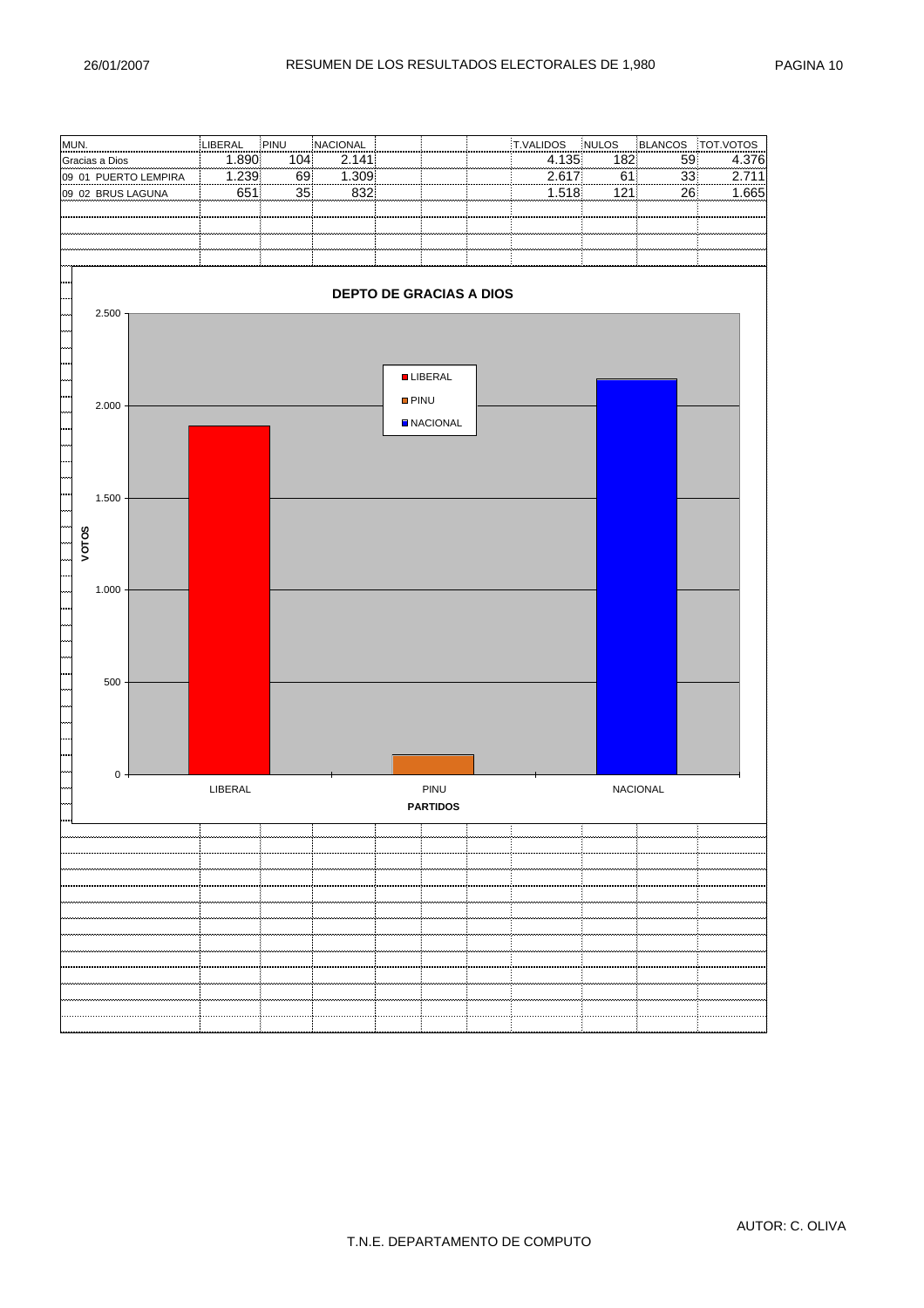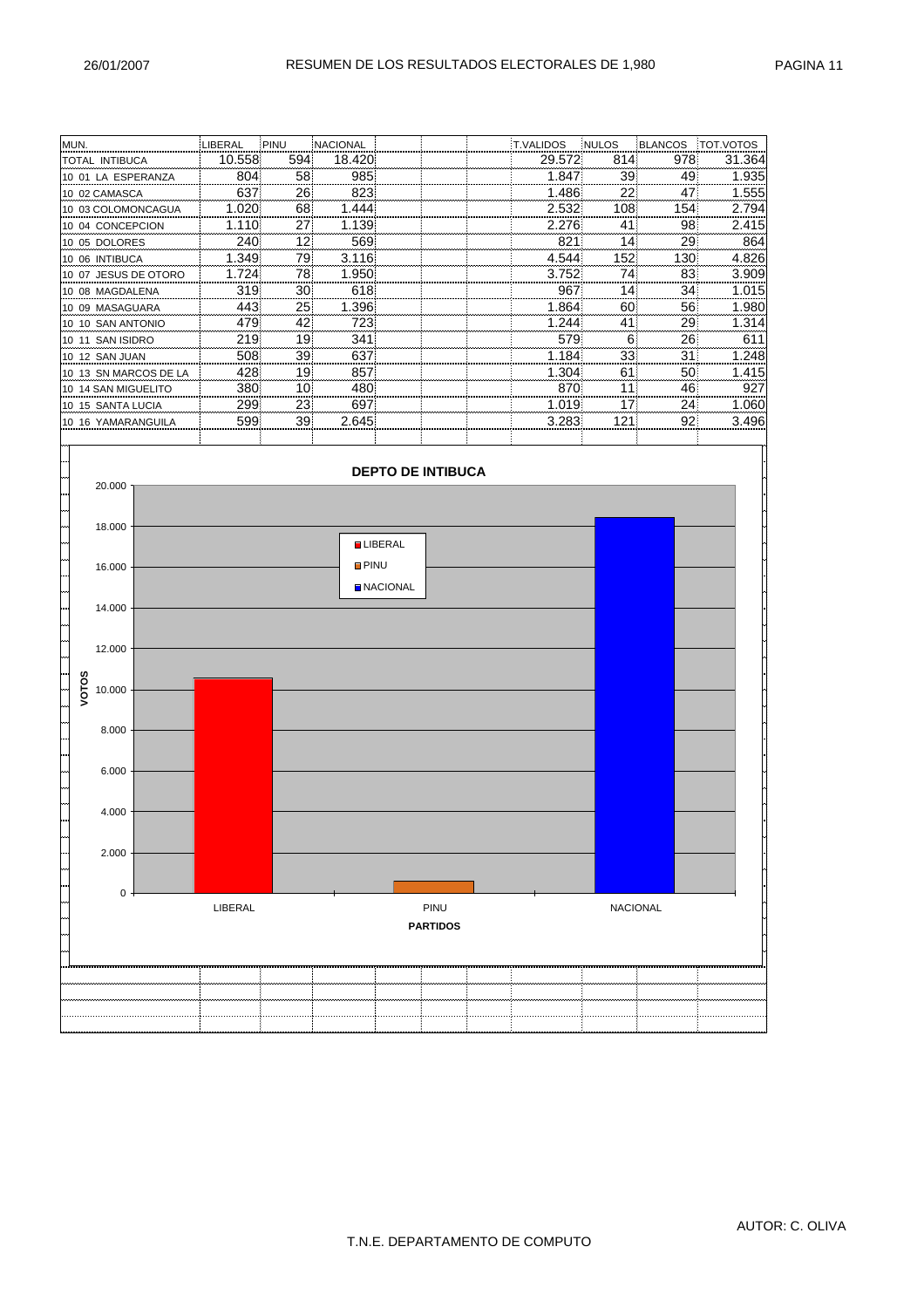| MUN.                               | LIBERAL    | PINU     | NACIONAL    |                 |                          | T.VALIDOS      | NULOS           | <b>BLANCOS</b> | TOT.VOTOS    |
|------------------------------------|------------|----------|-------------|-----------------|--------------------------|----------------|-----------------|----------------|--------------|
| TOTAL INTIBUCA                     | 10.558     | 594      | 18.420      |                 |                          | 29.572         | 814             | 978            | 31.364       |
| 10 01 LA ESPERANZA                 | 804        | 58       | 985         |                 |                          | 1.847          | 39              | 49             | 1.935        |
| 10 02 CAMASCA                      | 637        | 26       | 823         |                 |                          | 1.486          | 22              | 47             | 1.555        |
| 10 03 COLOMONCAGUA                 | 1.020      | 68       | 1.444       |                 |                          | 2.532          | 108             | 154            | 2.794        |
| 10 04 CONCEPCION                   | 1.110      | 27       | 1.139       |                 |                          | 2.276          | 41              | 98             | 2.415        |
| 10 05 DOLORES                      | 240        | 12       | 569         |                 |                          | 821            | 14              | 29             | 864          |
| 10 06 INTIBUCA                     | 1.349      | 79       | 3.116       |                 |                          | 4.544          | 152             | 130            | 4.826        |
| 10 07 JESUS DE OTORO               | 1.724      | 78       | 1.950       |                 |                          | 3.752          | 74              | 83             | 3.909        |
| 10 08 MAGDALENA                    | 319        | 30       | 618         |                 |                          | 967            | 14              | 34             | 1.015        |
| 10 09 MASAGUARA                    | 443        | 25       | 1.396       |                 |                          | 1.864<br>1.244 | 60              | 56             | 1.980        |
| 10 10 SAN ANTONIO                  | 479<br>219 | 42<br>19 | 723<br>341  |                 |                          | 579            | 41<br>6         | 29<br>26       | 1.314<br>611 |
| 10 11 SAN ISIDRO<br>10 12 SAN JUAN | 508        | 39       | 637         |                 |                          | 1.184          | 33              | 31             | 1.248        |
| 10 13 SN MARCOS DE LA              | 428        | 19       | 857         |                 |                          | 1.304          | 61              | 50             | 1.415        |
| 10 14 SAN MIGUELITO                | 380        | 10       | 480         |                 |                          | 870            | 11              | 46             | 927          |
| 10 15 SANTA LUCIA                  | 299        | 23       | 697         |                 |                          | 1.019          | 17              | 24             | 1.060        |
| 10 16 YAMARANGUILA                 | 599        | 39       | 2.645       |                 |                          | 3.283          | 121             | 92             | 3.496        |
|                                    |            |          |             |                 |                          |                |                 |                |              |
| 20.000                             |            |          |             |                 | <b>DEPTO DE INTIBUCA</b> |                |                 |                |              |
| 18.000                             |            |          |             |                 |                          |                |                 |                |              |
| 16.000                             |            |          | <b>PINU</b> | <b>LIBERAL</b>  |                          |                |                 |                |              |
|                                    |            |          |             | <b>NACIONAL</b> |                          |                |                 |                |              |
| 14.000                             |            |          |             |                 |                          |                |                 |                |              |
| 12.000                             |            |          |             |                 |                          |                |                 |                |              |
| VOTOS<br>10.000                    |            |          |             |                 |                          |                |                 |                |              |
| 8.000                              |            |          |             |                 |                          |                |                 |                |              |
| 6.000                              |            |          |             |                 |                          |                |                 |                |              |
| 4.000                              |            |          |             |                 |                          |                |                 |                |              |
| 2.000                              |            |          |             |                 |                          |                |                 |                |              |
| $\mathbf 0$                        |            |          |             |                 |                          |                |                 |                |              |
|                                    | LIBERAL    |          |             |                 | PINU<br><b>PARTIDOS</b>  |                | <b>NACIONAL</b> |                |              |
|                                    |            |          |             |                 |                          |                |                 |                |              |
|                                    |            |          |             |                 |                          |                |                 |                |              |
|                                    |            |          |             |                 |                          |                |                 |                |              |
|                                    |            |          |             |                 |                          |                |                 |                |              |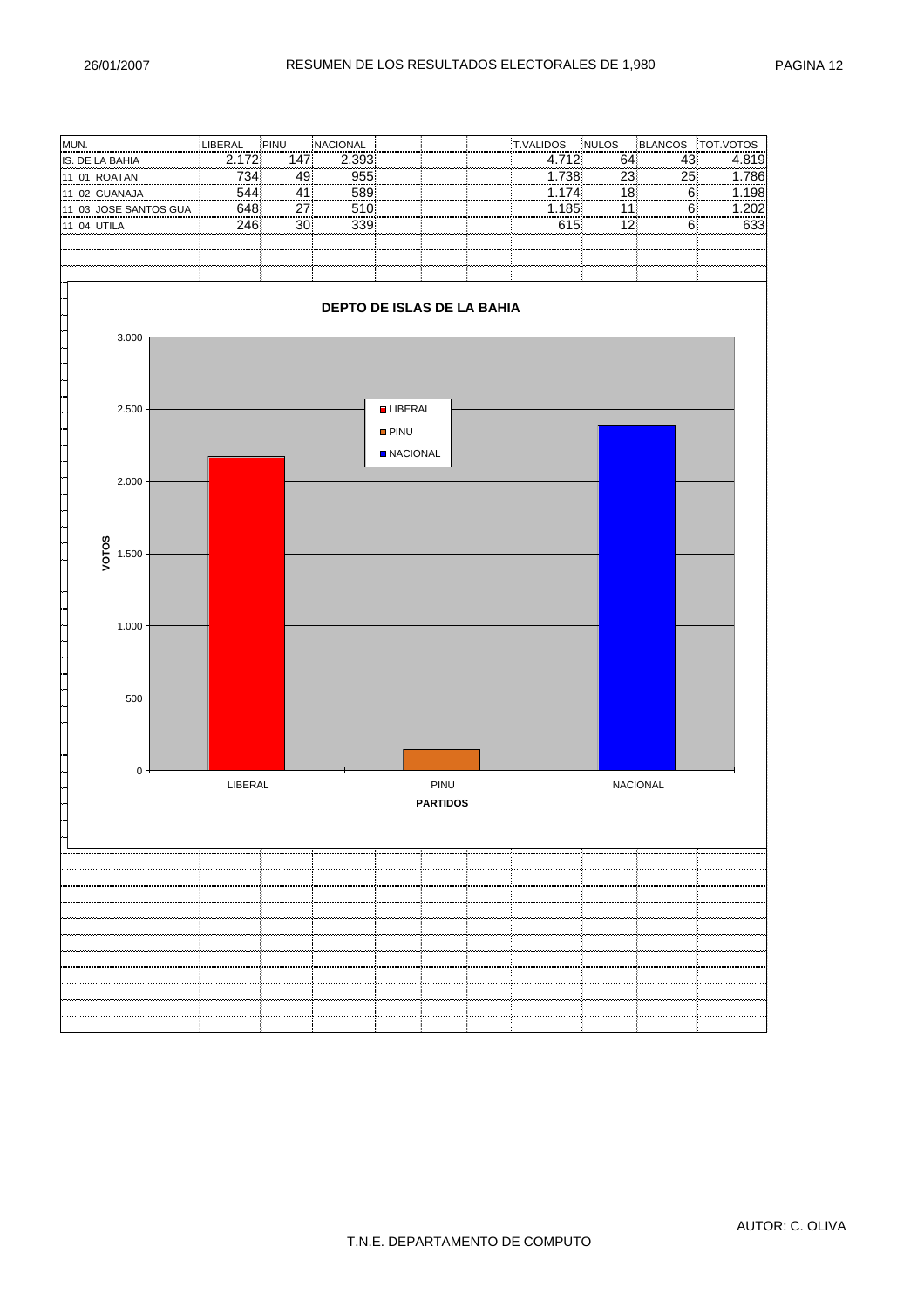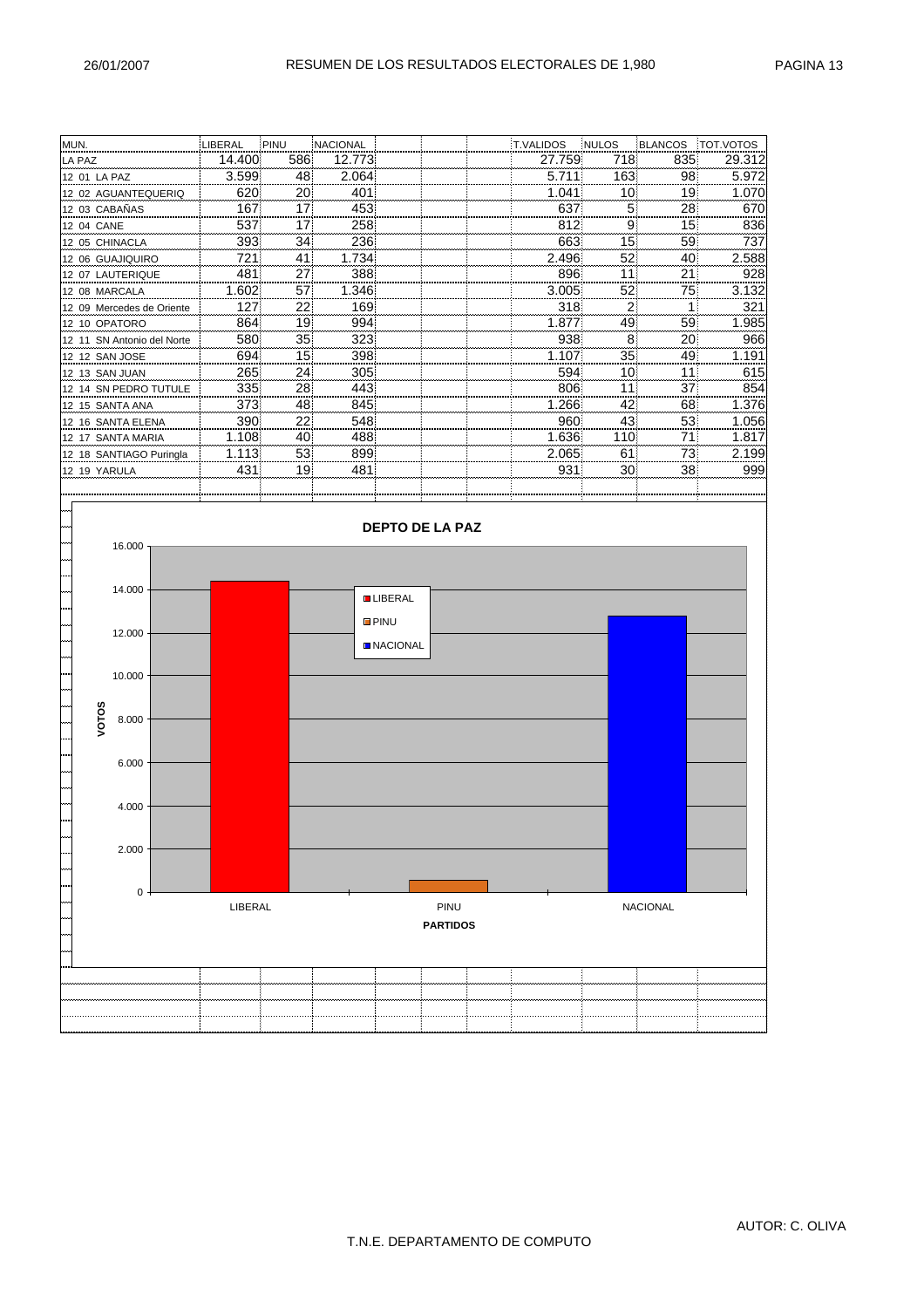| MUN.                       | LIBERAL | PINU | <b>NACIONAL</b> |  | <b>T.VALIDOS</b> | <b>INULOS</b> | <b>BLANCOS</b> | TOT.VOTOS |
|----------------------------|---------|------|-----------------|--|------------------|---------------|----------------|-----------|
| LA PAZ                     | 14.400  | 586  | 12.773          |  | 27.759           | 718           | 835            | 29.312    |
| 12 01 LA PAZ               | 3.599   | 48   | 2.064           |  | 5.711            | 163           | 98             | 5.972     |
| 12 02 AGUANTEQUERIQ        | 620     | 20   | 401             |  | 1.041            | 10            | 19             | 1.070     |
| 12 03 CABAÑAS              | 167     | 17   | 453             |  | 637              | 5             | 28             | 670       |
| 12 04 CANE                 | 537     | 17   | 258             |  | 812              | 9             | 15             | 836       |
| 12 05 CHINACLA             | 393     | 34   | 236             |  | 663              | 15            | 59             | 737       |
| 12 06 GUAJIQUIRO           | 721     | 41   | 1.734           |  | 2.496            | 52            | 40             | 2.588     |
| 12 07 LAUTERIQUE           | 481     | 27   | 388             |  | 896              | 11            | 21             | 928       |
| 12 08 MARCALA              | 1.602   | 57   | 1.346           |  | 3.005            | 52            | 75             | 3.132     |
| 12 09 Mercedes de Oriente  | 127     | 22   | 169             |  | 318              | 2             |                | 321       |
| 12 10 OPATORO              | 864     | 19   | 994             |  | 1.877            | 49            | 59             | 1.985     |
| 12 11 SN Antonio del Norte | 580     | 35   | 323             |  | 938              | 8             | 20             | 966       |
| 12 12 SAN JOSE             | 694     | 15   | 398             |  | 1.107            | 35            | 49             | 1.191     |
| 12 13 SAN JUAN             | 265     | 24   | 305             |  | 594              | 10            | 11             | 615       |
| 12 14 SN PEDRO TUTULE      | 335     | 28   | 443             |  | 806              | 11            | 37             | 854       |
| 12 15 SANTA ANA            | 373     | 48   | 845             |  | 1.266            | 42            | 68             | 1.376     |
| 12 16 SANTA ELENA          | 390     | 22   | 548             |  | 960              | 43            | 53             | 1.056     |
| 12 17 SANTA MARIA          | 1.108   | 40   | 488             |  | 1.636            | 110           | 71             | 1.817     |
| 12 18 SANTIAGO Puringla    | 1.113   | 53   | 899             |  | 2.065            | 61            | 73             | 2.199     |
| 12 19 YARULA               | 431     | 19   | 481             |  | 931              | 30            | 38             | 999       |
|                            |         |      |                 |  |                  |               |                |           |

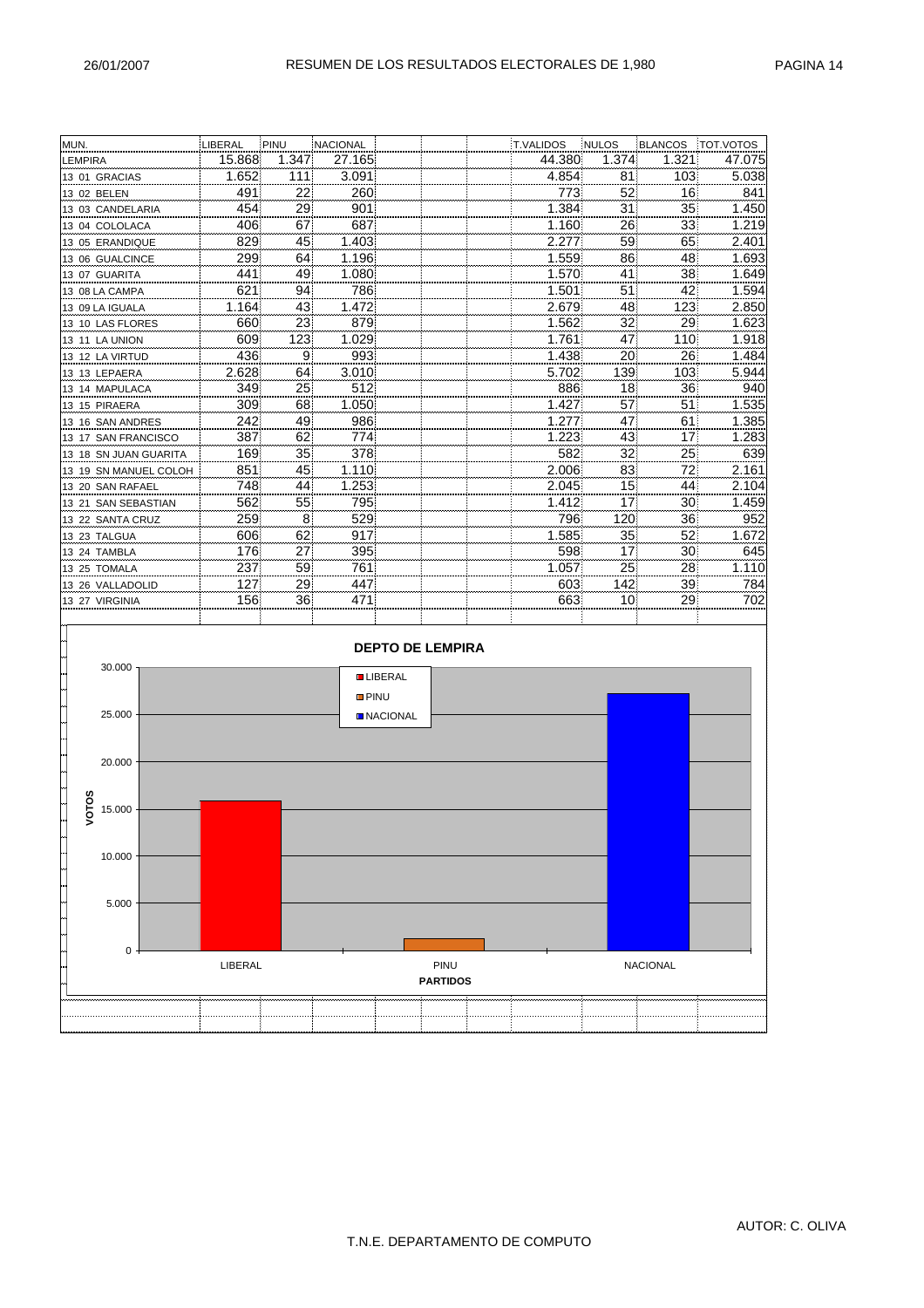| MUN.                  | LIBERAL | ¦PINU | NACIONAL    |                         |                 | T.VALIDOS | NULOS | <b>BLANCOS</b>  | TOT.VOTOS |
|-----------------------|---------|-------|-------------|-------------------------|-----------------|-----------|-------|-----------------|-----------|
| LEMPIRA               | 15.868  | 1.347 | 27.165      |                         |                 | 44.380    | 1.374 | 1.321           | 47.075    |
| 13 01 GRACIAS         | 1.652   | 111   | 3.091       |                         |                 | 4.854     | 81    | 103             | 5.038     |
| 13 02 BELEN           | 491     | 22    | 260         |                         |                 | 773       | 52    | 16              | 841       |
| 13 03 CANDELARIA      | 454     | 29    | 901         |                         |                 | 1.384     | 31    | 35              | 1.450     |
| 13 04 COLOLACA        | 406     | 67    | 687         |                         |                 | 1.160     | 26    | 33              | 1.219     |
| 13 05 ERANDIQUE       | 829     | 45    | 1.403       |                         |                 | 2.277     | 59    | 65              | 2.401     |
| 13 06 GUALCINCE       | 299     | 64    | 1.196       |                         |                 | 1.559     | 86    | 48              | 1.693     |
| 13 07 GUARITA         | 441     | 49    | 1.080       |                         |                 | 1.570     | 41    | 38              | 1.649     |
| 13 08 LA CAMPA        | 621     | 94    | 786         |                         |                 | 1.501     | 51    | 42              | 1.594     |
| 13 09 LA IGUALA       | 1.164   | 43    | 1.472       |                         |                 | 2.679     | 48    | 123             | 2.850     |
| 13 10 LAS FLORES      | 660     | 23    | 879         |                         |                 | 1.562     | 32    | 29              | 1.623     |
| 13 11 LA UNION        | 609     | 123   | 1.029       |                         |                 | 1.761     | 47    | 110             | 1.918     |
| 13 12 LA VIRTUD       | 436     | 9     | 993         |                         |                 | 1.438     | 20    | 26              | 1.484     |
| 13 13 LEPAERA         | 2.628   | 64    | 3.010       |                         |                 | 5.702     | 139   | 103             | 5.944     |
| 13 14 MAPULACA        | 3491    | 25    | 512         |                         |                 | 886       | 18    | 36              | 940       |
| 13 15 PIRAERA         | 309     | 68    | 1.050       |                         |                 | 1.427     | 57    | 51              | 1.535     |
| 13 16 SAN ANDRES      | 242     | 49    | 986         |                         |                 | 1.277     | 47    | 61              | 1.385     |
| 13 17 SAN FRANCISCO   | 387     | 62    | 774         |                         |                 | 1.223     | 43    | 17              | 1.283     |
| 13 18 SN JUAN GUARITA | 169     | 35    | 378         |                         |                 | 582       | 32    | 25              | 639       |
| 13 19 SN MANUEL COLOH | 851     | 45    | 1.110       |                         |                 | 2.006     | 83    | 72              | 2.161     |
| 13 20 SAN RAFAEL      | 748     | 44    | 1.253       |                         |                 | 2.045     | 15    | 44              | 2.104     |
| 13 21 SAN SEBASTIAN   | 562     | 55    | 795         |                         |                 | 1.412     | 17    | 30              | 1.459     |
| 13 22 SANTA CRUZ      | 259     | 8     | 529         |                         |                 | 796       | 120   | 36              | 952       |
| 13 23 TALGUA          | 606     | 62    | 917         |                         |                 | 1.585     | 35    | 52              | 1.672     |
| 13 24 TAMBLA          | 176     | 27    | 395         |                         |                 | 598       | 17    | 30              | 645       |
| 13 25 TOMALA          | 237     | 59    | 761         |                         |                 | 1.057     | 25    | 28              | 1.110     |
| 13 26 VALLADOLID      | 127     | 29    | 447         |                         |                 | 603       | 142   | 39              | 784       |
| 13 27 VIRGINIA        | 156     | 36    | 471         |                         |                 | 663       | 10    | 29              | 702       |
|                       |         |       |             |                         |                 |           |       |                 |           |
|                       |         |       |             |                         |                 |           |       |                 |           |
|                       |         |       |             | <b>DEPTO DE LEMPIRA</b> |                 |           |       |                 |           |
| 30.000                |         |       |             |                         |                 |           |       |                 |           |
|                       |         |       |             | <b>LIBERAL</b>          |                 |           |       |                 |           |
|                       |         |       | <b>PINU</b> |                         |                 |           |       |                 |           |
| 25.000                |         |       |             | <b>NACIONAL</b>         |                 |           |       |                 |           |
|                       |         |       |             |                         |                 |           |       |                 |           |
|                       |         |       |             |                         |                 |           |       |                 |           |
| 20.000                |         |       |             |                         |                 |           |       |                 |           |
|                       |         |       |             |                         |                 |           |       |                 |           |
|                       |         |       |             |                         |                 |           |       |                 |           |
| VOTOS<br>15.000       |         |       |             |                         |                 |           |       |                 |           |
|                       |         |       |             |                         |                 |           |       |                 |           |
|                       |         |       |             |                         |                 |           |       |                 |           |
| 10.000                |         |       |             |                         |                 |           |       |                 |           |
|                       |         |       |             |                         |                 |           |       |                 |           |
|                       |         |       |             |                         |                 |           |       |                 |           |
| 5.000                 |         |       |             |                         |                 |           |       |                 |           |
|                       |         |       |             |                         |                 |           |       |                 |           |
|                       |         |       |             |                         |                 |           |       |                 |           |
| 0                     |         |       |             |                         |                 |           |       |                 |           |
|                       | LIBERAL |       |             |                         | <b>PINU</b>     |           |       | <b>NACIONAL</b> |           |
|                       |         |       |             |                         | <b>PARTIDOS</b> |           |       |                 |           |
|                       |         |       |             |                         |                 |           |       |                 |           |
|                       |         |       |             |                         |                 |           |       |                 |           |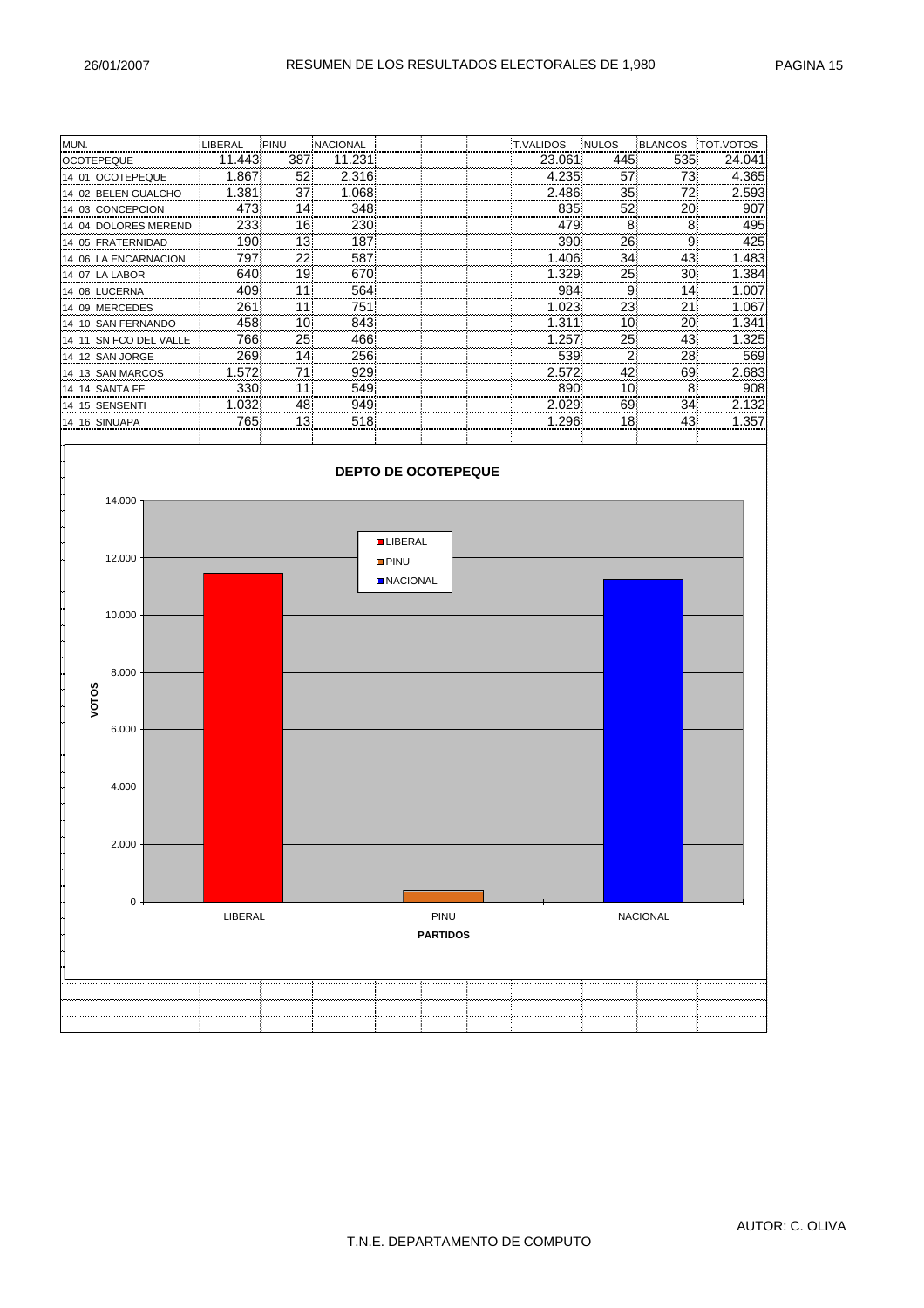| MUN.                   | LIBERAL | PINU | <b>NACIONAL</b> |  | <b>T.VALIDOS</b> | <b>INULOS</b> | <b>BLANCOS</b> | TOT.VOTOS |
|------------------------|---------|------|-----------------|--|------------------|---------------|----------------|-----------|
| <b>OCOTEPEQUE</b>      | 11.443  | 387  | 11.231          |  | 23.061           | 445           | 535            | 24.041    |
| 14 01 OCOTEPEQUE       | 1.867   | 52   | 2.316           |  | 4.235            | 57            | 73             | 4.365     |
| 14 02 BELEN GUALCHO    | 1.381   | 37   | 1.068           |  | 2.486            | 35            | 72             | 2.593     |
| 14 03 CONCEPCION       | 473     | 14   | 348             |  | 835              | 52            | 20             | 907       |
| 14 04 DOLORES MEREND   | 233     | 16   | 230             |  | 479              | 8             | 8              | 495       |
| 14 05 FRATERNIDAD      | 190     | 13   | 187             |  | 390              | 26            | 9              | 425       |
| 14 06 LA ENCARNACION   | 797     | 22   | 587             |  | 1.406            | 34            | 43             | 1.483     |
| 14 07 LA LABOR         | 640     | 19   | 670             |  | 1.329            | 25            | 30             | 1.384     |
| 14 08 LUCERNA          | 409     | 11   | 564             |  | 984              | 9             | 14             | 1.007     |
| 14 09 MERCEDES         | 261     | 11   | 751             |  | 1.023            | 23            | 21             | 1.067     |
| 14 10 SAN FERNANDO     | 458     | 10   | 843             |  | 1.311            | 10            | 20             | 1.341     |
| 14 11 SN FCO DEL VALLE | 766     | 25   | 466             |  | 1.257            | 25            | 43             | 1.325     |
| 14 12 SAN JORGE        | 269     | 14   | 256             |  | 539              |               | 28             | 569       |
| 14 13 SAN MARCOS       | 1.572   | 71   | 929             |  | 2.572            | 42            | 69             | 2.683     |
| 14 14 SANTA FE         | 330     | 11   | 549             |  | 890              | 10            | 8              | 908       |
| 14 15 SENSENTI         | 1.032   | 48   | 949             |  | 2.029            | 69            | 34             | 2.132     |
| 14 16 SINUAPA          | 765     | 13   | 518             |  | 1.296            | 18            | 43             | 1.357     |
|                        |         |      |                 |  |                  |               |                |           |

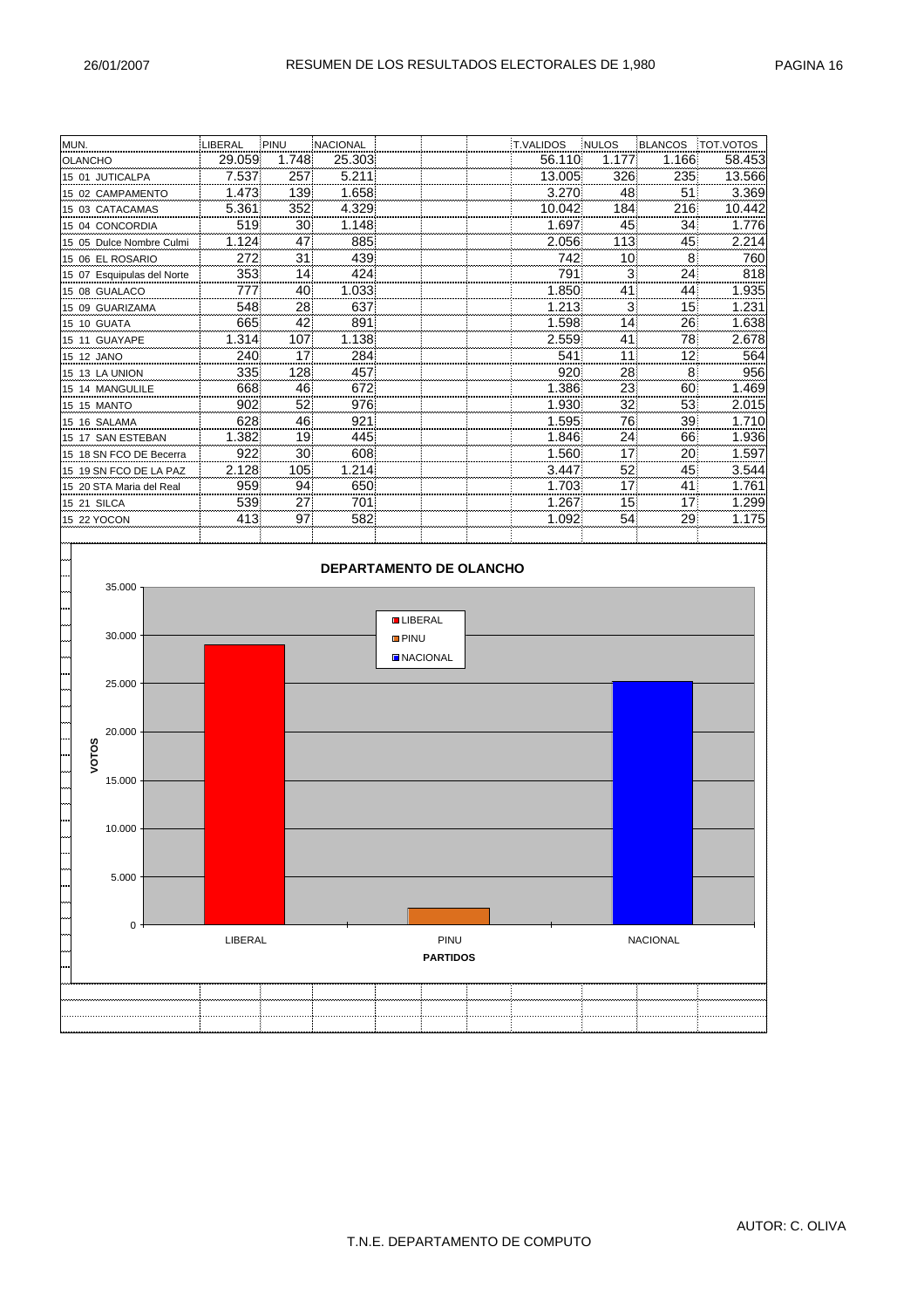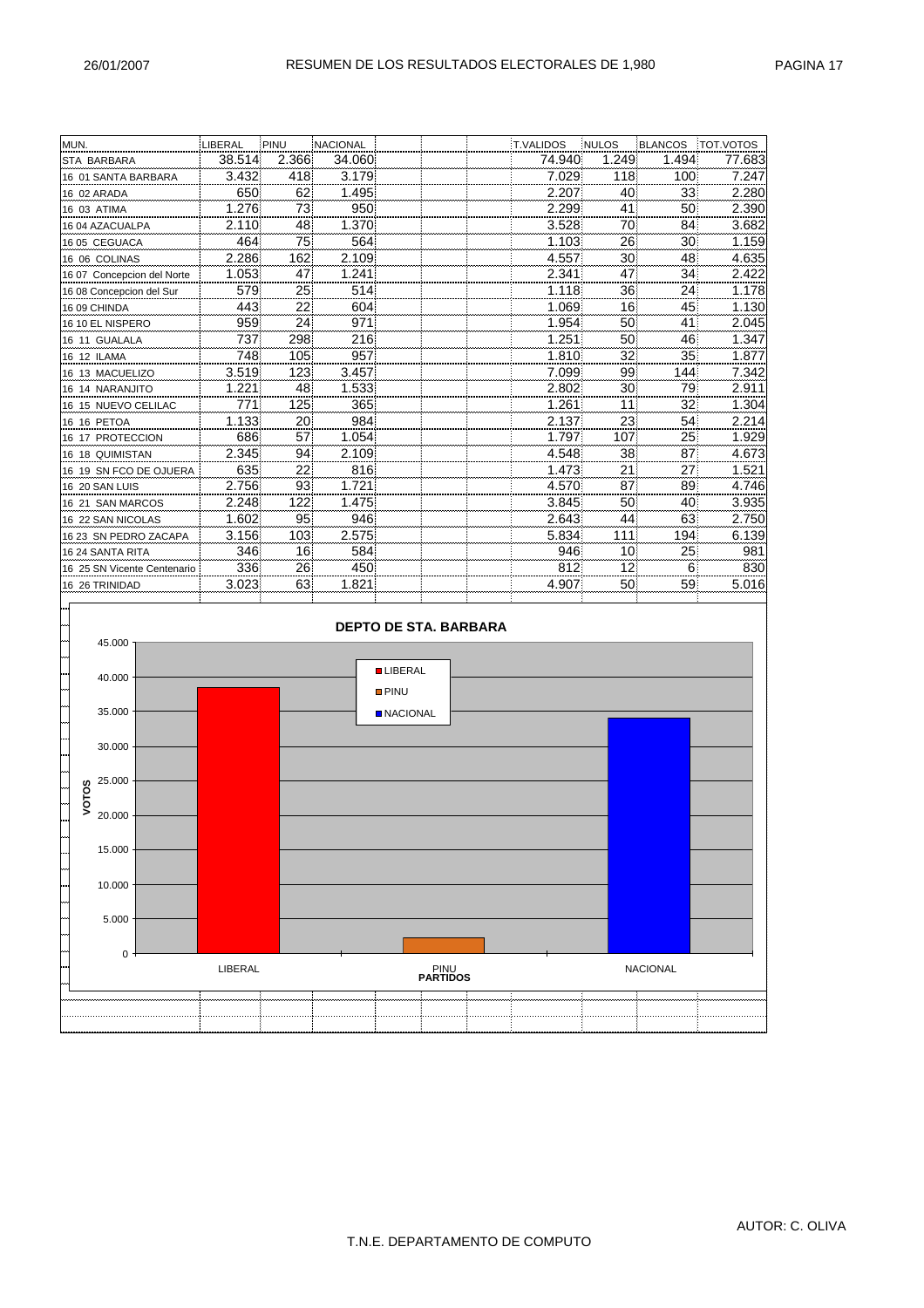| MUN.                        | LIBERAL | PINU  | NACIONAL |                              | T.VALIDOS | <b>NULOS</b> | <b>BLANCOS</b>  | TOT.VOTOS |
|-----------------------------|---------|-------|----------|------------------------------|-----------|--------------|-----------------|-----------|
| STA BARBARA                 | 38.514  | 2.366 | 34.060   |                              | 74.940    | 1.249        | 1.494           | 77.683    |
| 16 01 SANTA BARBARA         | 3.432   | 418   | 3.179    |                              | 7.029     | 118          | 100             | 7.247     |
| 16 02 ARADA                 | 650     | 62    | 1.495    |                              | 2.207     | 40           | 33              | 2.280     |
| 16 03 ATIMA                 | 1.276   | 73    | 950      |                              | 2.299     | 41           | 50              | 2.390     |
| 16 04 AZACUALPA             | 2.110   | 48    | 1.370    |                              | 3.528     | 70           | 84              | 3.682     |
| 16 05 CEGUACA               | 464     | 75    | 564      |                              | 1.103     | 26           | 30              | 1.159     |
| 16 06 COLINAS               | 2.286   | 162   | 2.109    |                              | 4.557     | 30           | 48              | 4.635     |
| 16 07 Concepcion del Norte  | 1.053   | 47    | 1.241    |                              | 2.341     | 47           | 34              | 2.422     |
| 16 08 Concepcion del Sur    | 579     | 25    | 514      |                              | 1.118     | 36           | 24              | 1.178     |
| 16 09 CHINDA                | 443     | 22    | 604      |                              | 1.069     | 16           | 45              | 1.130     |
| 16 10 EL NISPERO            | 959     | 24    | 971      |                              | 1.954     | 50           | 41              | 2.045     |
| 16 11 GUALALA               | 737     | 298   | 216      |                              | 1.251     | 50           | 46              | 1.347     |
| 16 12 ILAMA                 | 748     | 105   | 957      |                              | 1.810     | 32           | 35              | 1.877     |
| 16 13 MACUELIZO             | 3.519   | 123   | 3.457    |                              | 7.099     | 99           | 144             | 7.342     |
| 16 14 NARANJITO             | 1.221   | 48    | 1.533    |                              | 2.802     | 30           | 79              | 2.911     |
| 16 15 NUEVO CELILAC         | 771     | 125   | 365      |                              | 1.261     | 11           | 32              | 1.304     |
| 16 16 PETOA                 | 1.133   | 20    | 984      |                              | 2.137     | 23           | 54              | 2.214     |
| 16 17 PROTECCION            | 686     | 57    | 1.054    |                              | 1.797     | 107          | 25              | 1.929     |
| 16 18 QUIMISTAN             | 2.345   | 94    | 2.109    |                              | 4.548     | 38           | 87              | 4.673     |
| 16 19 SN FCO DE OJUERA      | 635     | 22    | 816      |                              | 1.473     | 21           | 27              | 1.521     |
| 16 20 SAN LUIS              | 2.756   | 93    | 1.721    |                              | 4.570     | 87           | 89              | 4.746     |
| 16 21 SAN MARCOS            | 2.248   | 122   | 1.475    |                              | 3.845     | 50           | 40              | 3.935     |
| 16 22 SAN NICOLAS           | 1.602   | 95    | 946      |                              | 2.643     | 44           | 63              | 2.750     |
| 16 23 SN PEDRO ZACAPA       | 3.156   | 103   | 2.575    |                              | 5.834     | 111          | 194             | 6.139     |
| 16 24 SANTA RITA            | 346     | 16    | 584      |                              | 946       | 10           | 25              | 981       |
| 16 25 SN Vicente Centenario | 336     | 26    | 450      |                              | 812       | 12           | 6               | 830       |
| 16 26 TRINIDAD              | 3.023   | 63    | 1.821    |                              | 4.907     | 50           | 59              | 5.016     |
|                             |         |       |          |                              |           |              |                 |           |
|                             |         |       |          | <b>DEPTO DE STA, BARBARA</b> |           |              |                 |           |
|                             |         |       |          |                              |           |              |                 |           |
| 45.000                      |         |       |          |                              |           |              |                 |           |
|                             |         |       |          | <b>LIBERAL</b>               |           |              |                 |           |
| 40.000                      |         |       |          | <b>PINU</b>                  |           |              |                 |           |
|                             |         |       |          |                              |           |              |                 |           |
| 35.000                      |         |       |          | <b>NACIONAL</b>              |           |              |                 |           |
|                             |         |       |          |                              |           |              |                 |           |
| 30.000                      |         |       |          |                              |           |              |                 |           |
|                             |         |       |          |                              |           |              |                 |           |
| 25.000                      |         |       |          |                              |           |              |                 |           |
| VOTOS                       |         |       |          |                              |           |              |                 |           |
| 20.000                      |         |       |          |                              |           |              |                 |           |
|                             |         |       |          |                              |           |              |                 |           |
| 15.000                      |         |       |          |                              |           |              |                 |           |
|                             |         |       |          |                              |           |              |                 |           |
| 10.000                      |         |       |          |                              |           |              |                 |           |
|                             |         |       |          |                              |           |              |                 |           |
|                             |         |       |          |                              |           |              |                 |           |
| 5.000                       |         |       |          |                              |           |              |                 |           |
|                             |         |       |          |                              |           |              |                 |           |
| 0                           |         |       |          |                              |           |              |                 |           |
|                             | LIBERAL |       |          | PINU<br><b>PARTIDOS</b>      |           |              | <b>NACIONAL</b> |           |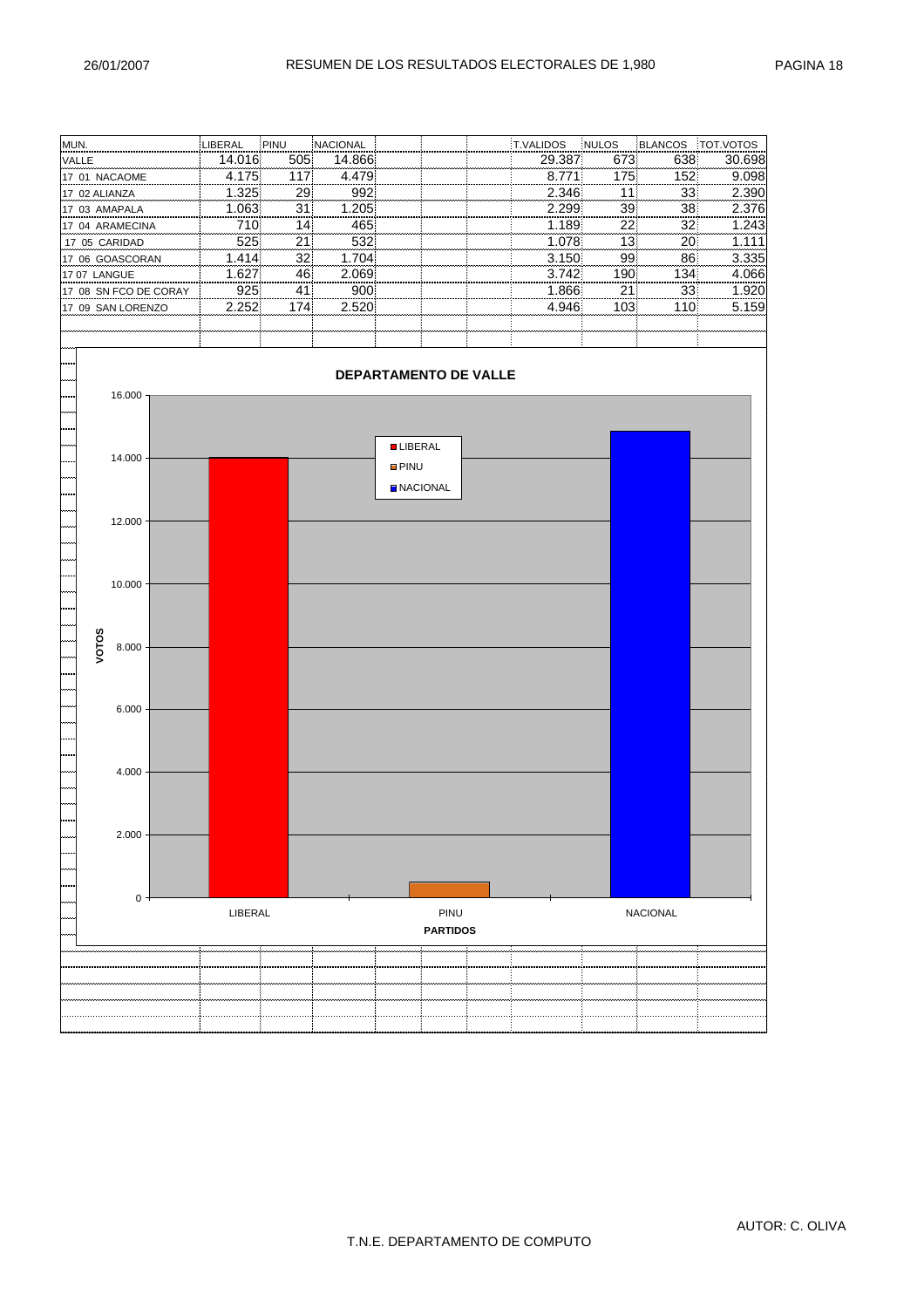